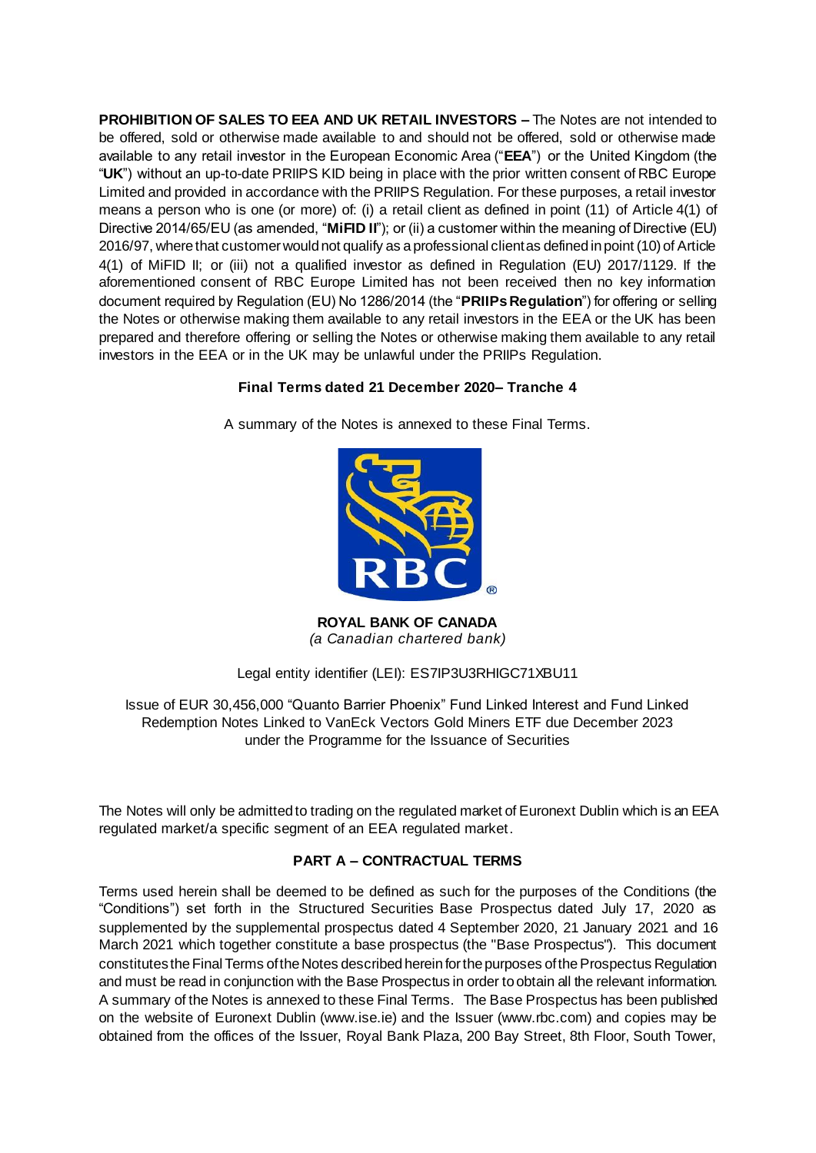**PROHIBITION OF SALES TO EEA AND UK RETAIL INVESTORS –** The Notes are not intended to be offered, sold or otherwise made available to and should not be offered, sold or otherwise made available to any retail investor in the European Economic Area ("**EEA**") or the United Kingdom (the "**UK**") without an up-to-date PRIIPS KID being in place with the prior written consent of RBC Europe Limited and provided in accordance with the PRIIPS Regulation. For these purposes, a retail investor means a person who is one (or more) of: (i) a retail client as defined in point (11) of Article 4(1) of Directive 2014/65/EU (as amended, "**MiFID II**"); or (ii) a customer within the meaning of Directive (EU) 2016/97, where that customer would not qualify as a professional client as defined in point (10) of Article 4(1) of MiFID II; or (iii) not a qualified investor as defined in Regulation (EU) 2017/1129. If the aforementioned consent of RBC Europe Limited has not been received then no key information document required by Regulation (EU) No 1286/2014 (the "**PRIIPs Regulation**") for offering or selling the Notes or otherwise making them available to any retail investors in the EEA or the UK has been prepared and therefore offering or selling the Notes or otherwise making them available to any retail investors in the EEA or in the UK may be unlawful under the PRIIPs Regulation.

## **Final Terms dated 21 December 2020– Tranche 4**

A summary of the Notes is annexed to these Final Terms.



**ROYAL BANK OF CANADA** *(a Canadian chartered bank)*

Legal entity identifier (LEI): ES7IP3U3RHIGC71XBU11

Issue of EUR 30,456,000 "Quanto Barrier Phoenix" Fund Linked Interest and Fund Linked Redemption Notes Linked to VanEck Vectors Gold Miners ETF due December 2023 under the Programme for the Issuance of Securities

The Notes will only be admitted to trading on the regulated market of Euronext Dublin which is an EEA regulated market/a specific segment of an EEA regulated market.

# **PART A – CONTRACTUAL TERMS**

Terms used herein shall be deemed to be defined as such for the purposes of the Conditions (the "Conditions") set forth in the Structured Securities Base Prospectus dated July 17, 2020 as supplemented by the supplemental prospectus dated 4 September 2020, 21 January 2021 and 16 March 2021 which together constitute a base prospectus (the "Base Prospectus"). This document constitutes the Final Terms of the Notes described herein for the purposes of the Prospectus Regulation and must be read in conjunction with the Base Prospectus in order to obtain all the relevant information. A summary of the Notes is annexed to these Final Terms. The Base Prospectus has been published on the website of Euronext Dublin (www.ise.ie) and the Issuer (www.rbc.com) and copies may be obtained from the offices of the Issuer, Royal Bank Plaza, 200 Bay Street, 8th Floor, South Tower,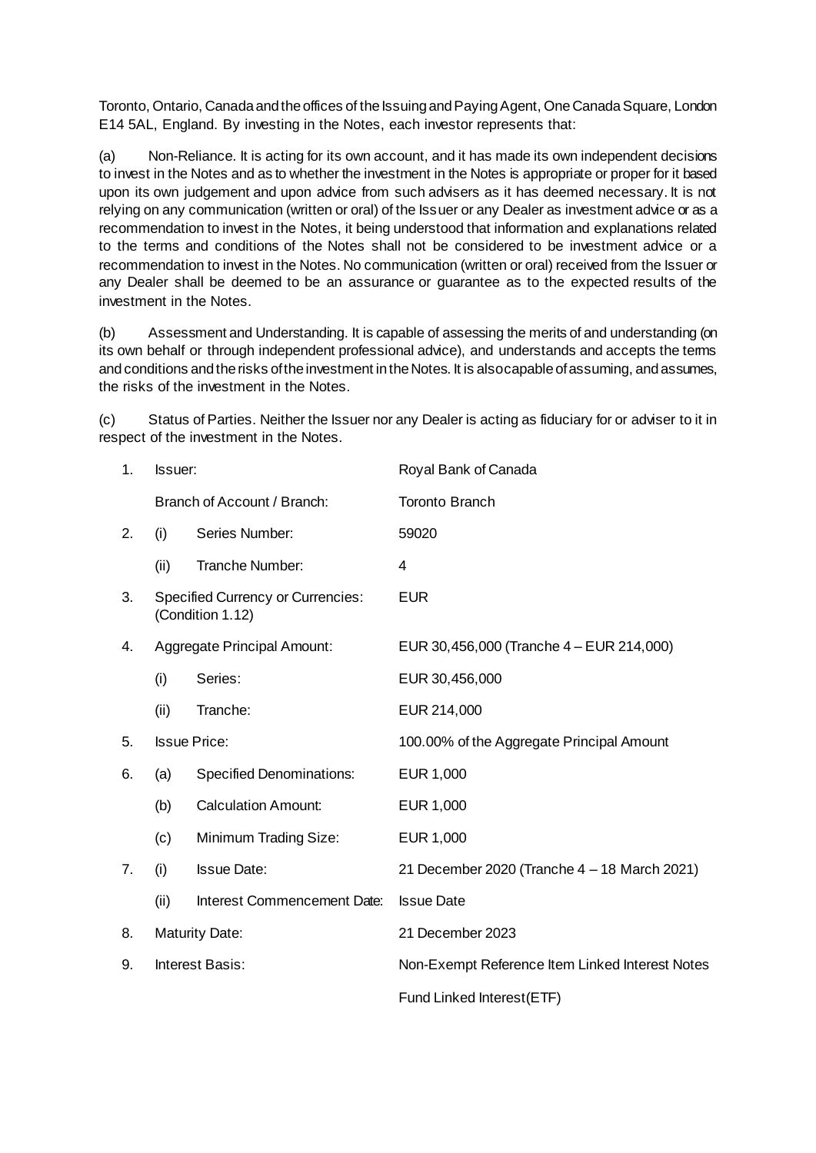Toronto, Ontario, Canada and the offices of the Issuing and Paying Agent, One Canada Square, London E14 5AL, England. By investing in the Notes, each investor represents that:

(a) Non-Reliance. It is acting for its own account, and it has made its own independent decisions to invest in the Notes and as to whether the investment in the Notes is appropriate or proper for it based upon its own judgement and upon advice from such advisers as it has deemed necessary. It is not relying on any communication (written or oral) of the Issuer or any Dealer as investment advice or as a recommendation to invest in the Notes, it being understood that information and explanations related to the terms and conditions of the Notes shall not be considered to be investment advice or a recommendation to invest in the Notes. No communication (written or oral) received from the Issuer or any Dealer shall be deemed to be an assurance or guarantee as to the expected results of the investment in the Notes.

(b) Assessment and Understanding. It is capable of assessing the merits of and understanding (on its own behalf or through independent professional advice), and understands and accepts the terms and conditions and the risks of the investment in the Notes. It is also capable of assuming, and assumes, the risks of the investment in the Notes.

(c) Status of Parties. Neither the Issuer nor any Dealer is acting as fiduciary for or adviser to it in respect of the investment in the Notes.

| 1. | <b>Issuer:</b> |                                                              | Royal Bank of Canada                            |  |  |
|----|----------------|--------------------------------------------------------------|-------------------------------------------------|--|--|
|    |                | Branch of Account / Branch:                                  | <b>Toronto Branch</b>                           |  |  |
| 2. | (i)            | Series Number:                                               | 59020                                           |  |  |
|    | (ii)           | Tranche Number:                                              | 4                                               |  |  |
| 3. |                | <b>Specified Currency or Currencies:</b><br>(Condition 1.12) | <b>EUR</b>                                      |  |  |
| 4. |                | <b>Aggregate Principal Amount:</b>                           | EUR 30,456,000 (Tranche 4 - EUR 214,000)        |  |  |
|    | (i)            | Series:                                                      | EUR 30,456,000                                  |  |  |
|    | (ii)           | Tranche:                                                     | EUR 214,000                                     |  |  |
| 5. |                | <b>Issue Price:</b>                                          | 100.00% of the Aggregate Principal Amount       |  |  |
| 6. | (a)            | <b>Specified Denominations:</b>                              | EUR 1,000                                       |  |  |
|    | (b)            | <b>Calculation Amount:</b>                                   | EUR 1,000                                       |  |  |
|    | (c)            | Minimum Trading Size:                                        | EUR 1,000                                       |  |  |
| 7. | (i)            | <b>Issue Date:</b>                                           | 21 December 2020 (Tranche 4 - 18 March 2021)    |  |  |
|    | (ii)           | Interest Commencement Date:                                  | <b>Issue Date</b>                               |  |  |
| 8. |                | <b>Maturity Date:</b>                                        | 21 December 2023                                |  |  |
| 9. |                | Interest Basis:                                              | Non-Exempt Reference Item Linked Interest Notes |  |  |
|    |                |                                                              | Fund Linked Interest(ETF)                       |  |  |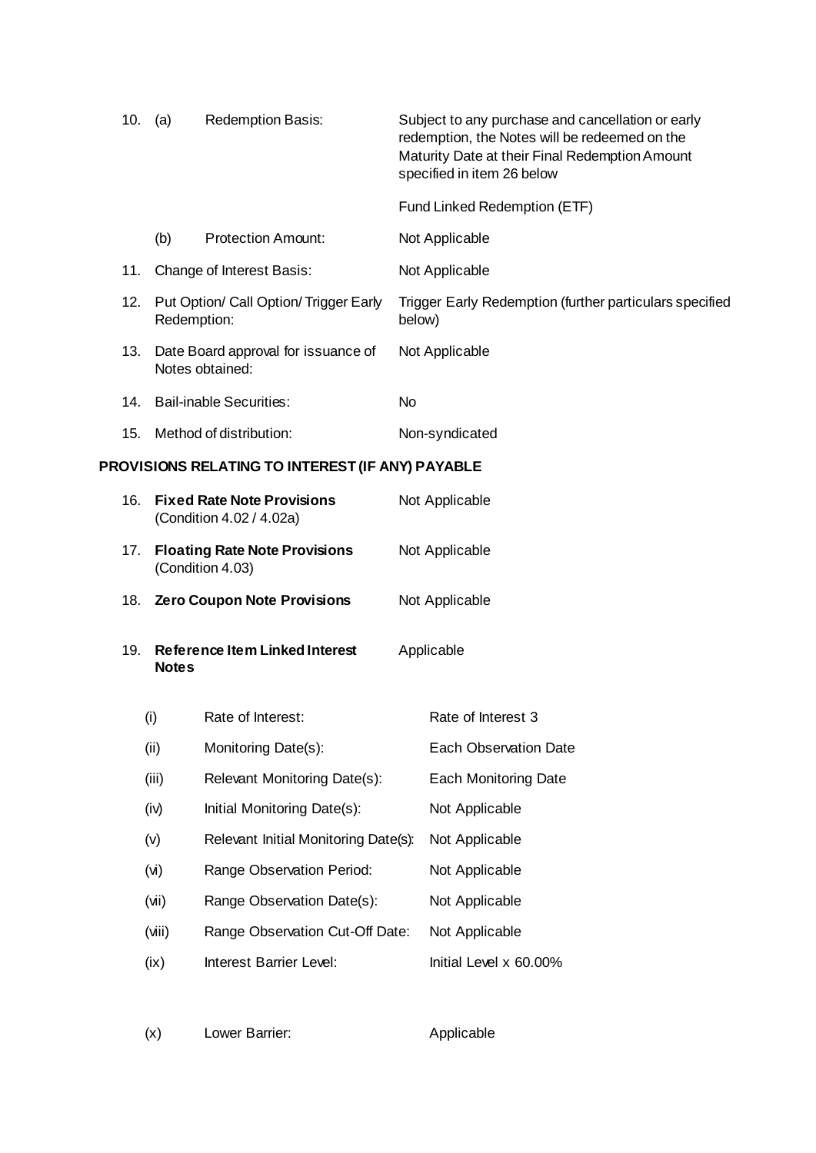|                                                  | 10.         | (a)                                                           | <b>Redemption Basis:</b>                              |        | Subject to any purchase and cancellation or early<br>redemption, the Notes will be redeemed on the<br>Maturity Date at their Final Redemption Amount<br>specified in item 26 below |
|--------------------------------------------------|-------------|---------------------------------------------------------------|-------------------------------------------------------|--------|------------------------------------------------------------------------------------------------------------------------------------------------------------------------------------|
|                                                  |             |                                                               |                                                       |        | Fund Linked Redemption (ETF)                                                                                                                                                       |
|                                                  |             | (b)                                                           | <b>Protection Amount:</b>                             |        | Not Applicable                                                                                                                                                                     |
|                                                  | 11.         |                                                               | Change of Interest Basis:                             |        | Not Applicable                                                                                                                                                                     |
|                                                  | 12.         |                                                               | Put Option/ Call Option/ Trigger Early<br>Redemption: | below) | Trigger Early Redemption (further particulars specified                                                                                                                            |
|                                                  | 13.         | Date Board approval for issuance of<br>Notes obtained:        |                                                       |        | Not Applicable                                                                                                                                                                     |
|                                                  | 14.         |                                                               | <b>Bail-inable Securities:</b>                        | No     |                                                                                                                                                                                    |
|                                                  | 15.         |                                                               | Method of distribution:                               |        | Non-syndicated                                                                                                                                                                     |
| PROVISIONS RELATING TO INTEREST (IF ANY) PAYABLE |             |                                                               |                                                       |        |                                                                                                                                                                                    |
|                                                  | 16.         | <b>Fixed Rate Note Provisions</b><br>(Condition 4.02 / 4.02a) |                                                       |        | Not Applicable                                                                                                                                                                     |
|                                                  | 17.         | <b>Floating Rate Note Provisions</b><br>(Condition 4.03)      |                                                       |        | Not Applicable                                                                                                                                                                     |
|                                                  | 18.         | Zero Coupon Note Provisions                                   |                                                       |        | Not Applicable                                                                                                                                                                     |
|                                                  | 19.         | <b>Reference Item Linked Interest</b><br><b>Notes</b>         |                                                       |        | Applicable                                                                                                                                                                         |
|                                                  |             | (i)                                                           | Rate of Interest:                                     |        | Rate of Interest 3                                                                                                                                                                 |
|                                                  |             | (ii)                                                          | Monitoring Date(s):                                   |        | <b>Each Observation Date</b>                                                                                                                                                       |
|                                                  |             | (iii)                                                         | Relevant Monitoring Date(s):                          |        | <b>Each Monitoring Date</b>                                                                                                                                                        |
|                                                  | (iv)<br>(v) |                                                               | Initial Monitoring Date(s):                           |        | Not Applicable                                                                                                                                                                     |
|                                                  |             |                                                               | Relevant Initial Monitoring Date(s):                  |        | Not Applicable                                                                                                                                                                     |
|                                                  |             | (v)                                                           | Range Observation Period:                             |        | Not Applicable                                                                                                                                                                     |
|                                                  |             | (vii)                                                         | Range Observation Date(s):                            |        | Not Applicable                                                                                                                                                                     |
|                                                  |             | (viii)                                                        | Range Observation Cut-Off Date:                       |        | Not Applicable                                                                                                                                                                     |
|                                                  |             | (ix)                                                          | Interest Barrier Level:                               |        | Initial Level x 60.00%                                                                                                                                                             |

(x) Lower Barrier: Applicable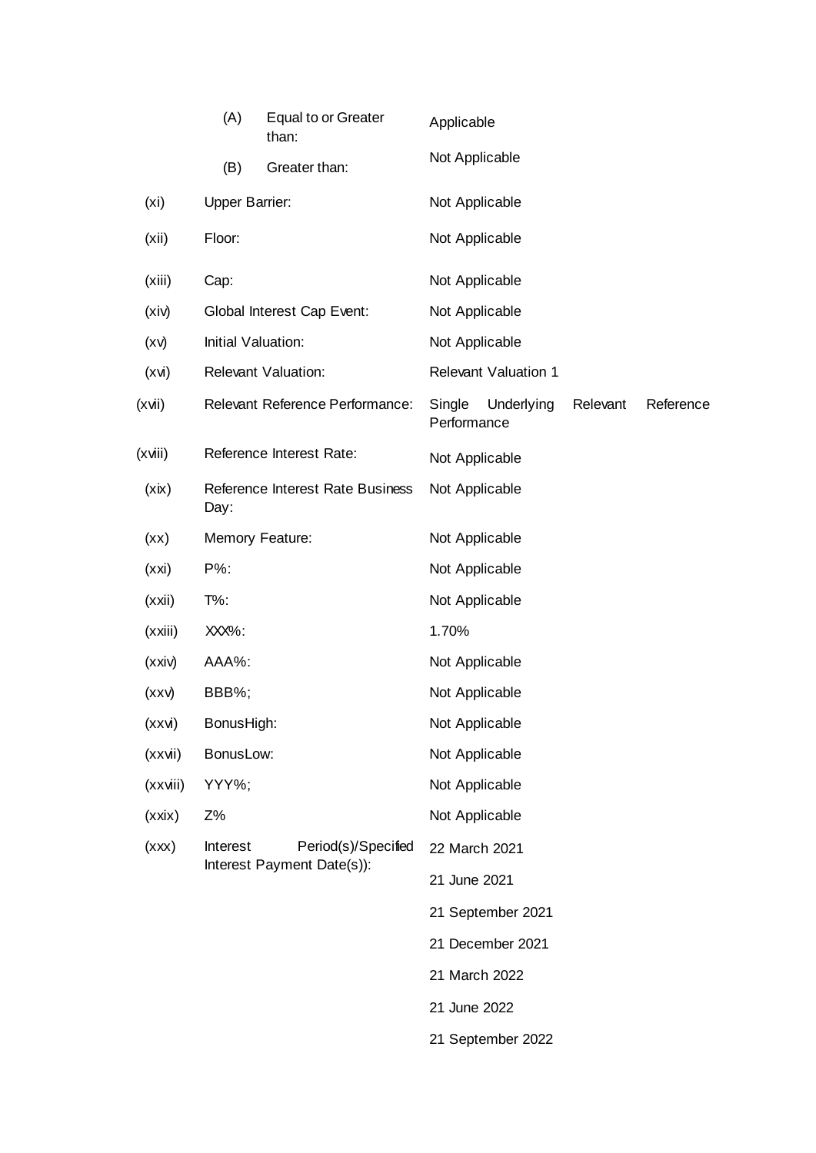|                   | (A)                   | Equal to or Greater<br>than:      | Applicable            |                             |          |           |
|-------------------|-----------------------|-----------------------------------|-----------------------|-----------------------------|----------|-----------|
|                   | (B)                   | Greater than:                     | Not Applicable        |                             |          |           |
| (x <sub>i</sub> ) | <b>Upper Barrier:</b> |                                   | Not Applicable        |                             |          |           |
| (xii)             | Floor:                |                                   | Not Applicable        |                             |          |           |
| (xiii)            | Cap:                  |                                   | Not Applicable        |                             |          |           |
| (xiv)             |                       | <b>Global Interest Cap Event:</b> | Not Applicable        |                             |          |           |
| (xv)              | Initial Valuation:    |                                   | Not Applicable        |                             |          |           |
| (xvi)             |                       | <b>Relevant Valuation:</b>        |                       | <b>Relevant Valuation 1</b> |          |           |
| (xvii)            |                       | Relevant Reference Performance:   | Single<br>Performance | Underlying                  | Relevant | Reference |
| (xviii)           |                       | Reference Interest Rate:          | Not Applicable        |                             |          |           |
| (xix)             | Day:                  | Reference Interest Rate Business  | Not Applicable        |                             |          |           |
| (xx)              |                       | Memory Feature:                   | Not Applicable        |                             |          |           |
| (xxi)             | P%:                   |                                   | Not Applicable        |                             |          |           |
| (xxi)             | $T\%$ :               |                                   | Not Applicable        |                             |          |           |
| (xxiii)           | XXX%:                 |                                   | 1.70%                 |                             |          |           |
| (xxi)             | AAA%:                 |                                   | Not Applicable        |                             |          |           |
| $(x \times v)$    | BBB%;                 |                                   | Not Applicable        |                             |          |           |
| (xxvi)            | BonusHigh:            |                                   | Not Applicable        |                             |          |           |
| (xxvii)           | BonusLow:             |                                   | Not Applicable        |                             |          |           |
| (xxviii)          | YYY%;                 |                                   | Not Applicable        |                             |          |           |
| (xxix)            | Z%                    |                                   | Not Applicable        |                             |          |           |
| (xxx)             | Interest              | Period(s)/Specified               | 22 March 2021         |                             |          |           |
|                   |                       | Interest Payment Date(s)):        | 21 June 2021          |                             |          |           |
|                   |                       |                                   |                       | 21 September 2021           |          |           |
|                   |                       |                                   |                       | 21 December 2021            |          |           |
|                   |                       |                                   | 21 March 2022         |                             |          |           |
|                   |                       |                                   | 21 June 2022          |                             |          |           |
|                   |                       |                                   |                       | 21 September 2022           |          |           |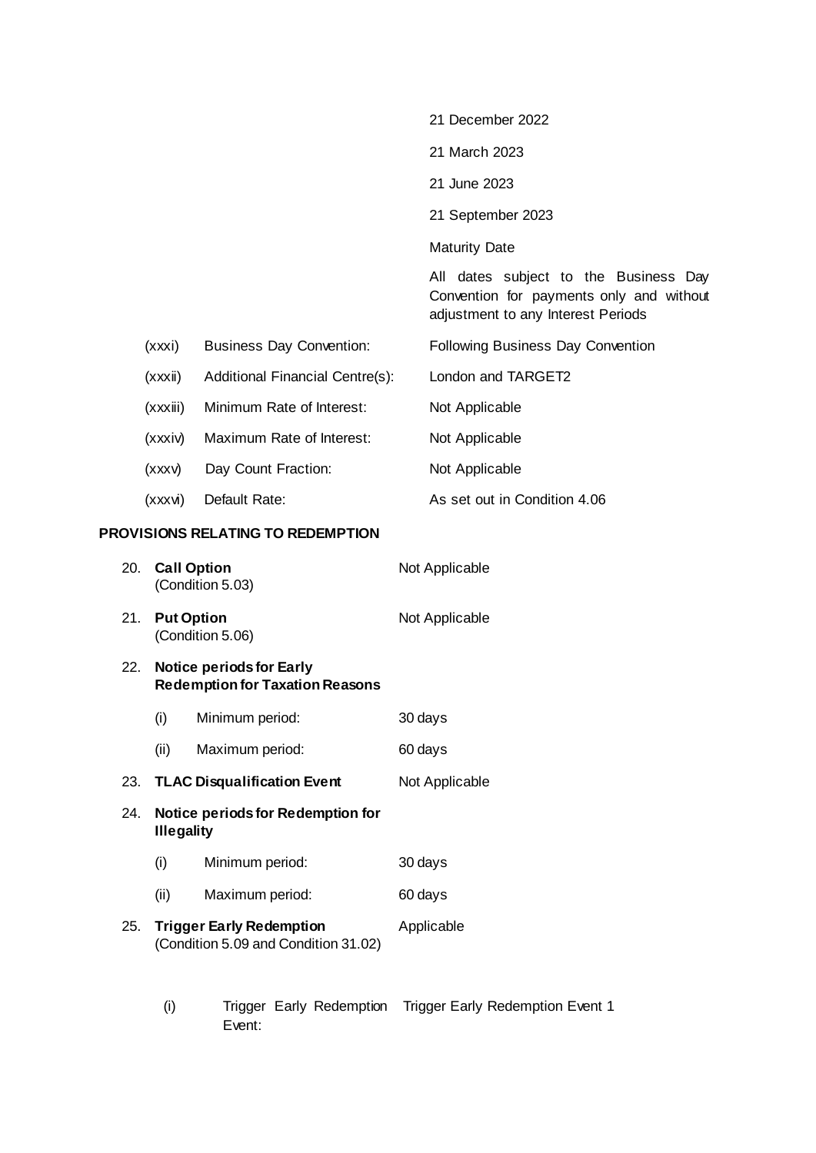|     |                   |                                                                           |  | 21 December 2022                                                                                                        |
|-----|-------------------|---------------------------------------------------------------------------|--|-------------------------------------------------------------------------------------------------------------------------|
|     |                   |                                                                           |  | 21 March 2023                                                                                                           |
|     |                   |                                                                           |  | 21 June 2023                                                                                                            |
|     |                   |                                                                           |  | 21 September 2023                                                                                                       |
|     |                   |                                                                           |  | <b>Maturity Date</b>                                                                                                    |
|     |                   |                                                                           |  | All dates subject to the Business Day<br>Convention for payments only and without<br>adjustment to any Interest Periods |
|     | (xxxi)            | <b>Business Day Convention:</b>                                           |  | Following Business Day Convention                                                                                       |
|     | (xxxii)           | Additional Financial Centre(s):                                           |  | London and TARGET2                                                                                                      |
|     | (xxxiii)          | Minimum Rate of Interest:                                                 |  | Not Applicable                                                                                                          |
|     | (xxxiv)           | Maximum Rate of Interest:                                                 |  | Not Applicable                                                                                                          |
|     | (xxxv)            | Day Count Fraction:                                                       |  | Not Applicable                                                                                                          |
|     | (xxxvi)           | Default Rate:                                                             |  | As set out in Condition 4.06                                                                                            |
|     |                   | PROVISIONS RELATING TO REDEMPTION                                         |  |                                                                                                                         |
| 20. |                   | <b>Call Option</b><br>(Condition 5.03)                                    |  | Not Applicable                                                                                                          |
| 21. | <b>Put Option</b> | (Condition 5.06)                                                          |  | Not Applicable                                                                                                          |
| 22. |                   | <b>Notice periods for Early</b><br><b>Redemption for Taxation Reasons</b> |  |                                                                                                                         |
|     | (i)               | Minimum period:                                                           |  | 30 days                                                                                                                 |
|     | (ii)              | Maximum period:                                                           |  | 60 days                                                                                                                 |
| 23. |                   | <b>TLAC Disqualification Event</b>                                        |  | Not Applicable                                                                                                          |
| 24. | <b>Illegality</b> | Notice periods for Redemption for                                         |  |                                                                                                                         |
|     | (i)               | Minimum period:                                                           |  | 30 days                                                                                                                 |

- (ii) Maximum period: 60 days
- 25. **Trigger Early Redemption** (Condition 5.09 and Condition 31.02) Applicable
	- (i) Trigger Early Redemption Trigger Early Redemption Event 1Event: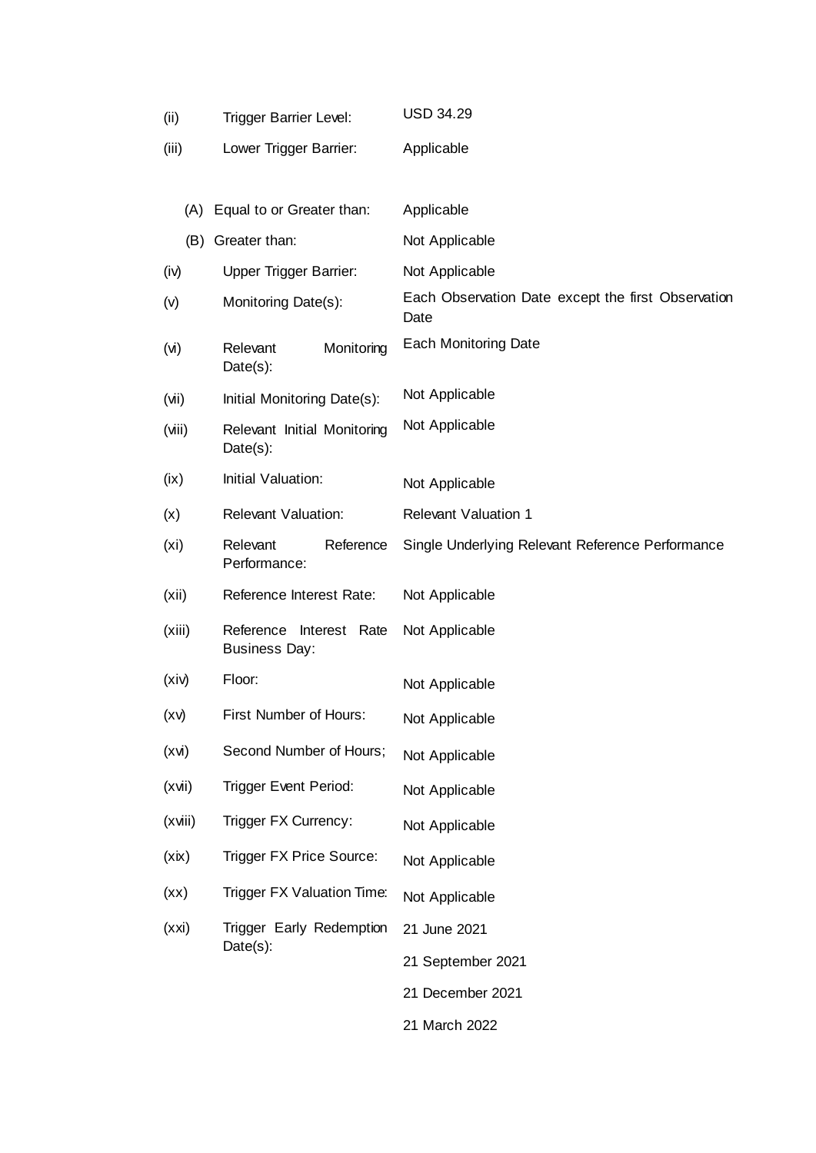| (ii)              | <b>Trigger Barrier Level:</b>                      | <b>USD 34.29</b>                                           |
|-------------------|----------------------------------------------------|------------------------------------------------------------|
| (iii)             | Lower Trigger Barrier:                             | Applicable                                                 |
|                   |                                                    |                                                            |
|                   | (A) Equal to or Greater than:                      | Applicable                                                 |
| (B)               | Greater than:                                      | Not Applicable                                             |
| (iv)              | <b>Upper Trigger Barrier:</b>                      | Not Applicable                                             |
| (v)               | Monitoring Date(s):                                | Each Observation Date except the first Observation<br>Date |
| (v)               | Relevant<br>Monitoring<br>Date(s):                 | <b>Each Monitoring Date</b>                                |
| (vii)             | Initial Monitoring Date(s):                        | Not Applicable                                             |
| (viii)            | Relevant Initial Monitoring<br>$Date(s)$ :         | Not Applicable                                             |
| (ix)              | Initial Valuation:                                 | Not Applicable                                             |
| (x)               | <b>Relevant Valuation:</b>                         | <b>Relevant Valuation 1</b>                                |
| (x <sub>i</sub> ) | Relevant<br>Reference<br>Performance:              | Single Underlying Relevant Reference Performance           |
| (xii)             | Reference Interest Rate:                           | Not Applicable                                             |
| (xiii)            | Reference<br>Interest Rate<br><b>Business Day:</b> | Not Applicable                                             |
| (xiv)             | Floor:                                             | Not Applicable                                             |
| (xv)              | First Number of Hours:                             | Not Applicable                                             |
| (xvi)             | Second Number of Hours;                            | Not Applicable                                             |
| (xvi)             | <b>Trigger Event Period:</b>                       | Not Applicable                                             |
| (xviii)           | Trigger FX Currency:                               | Not Applicable                                             |
| (xix)             | Trigger FX Price Source:                           | Not Applicable                                             |
| (xx)              | Trigger FX Valuation Time:                         | Not Applicable                                             |
| (xxi)             | Trigger Early Redemption                           | 21 June 2021                                               |
|                   | Date(s):                                           | 21 September 2021                                          |
|                   |                                                    | 21 December 2021                                           |
|                   |                                                    | 21 March 2022                                              |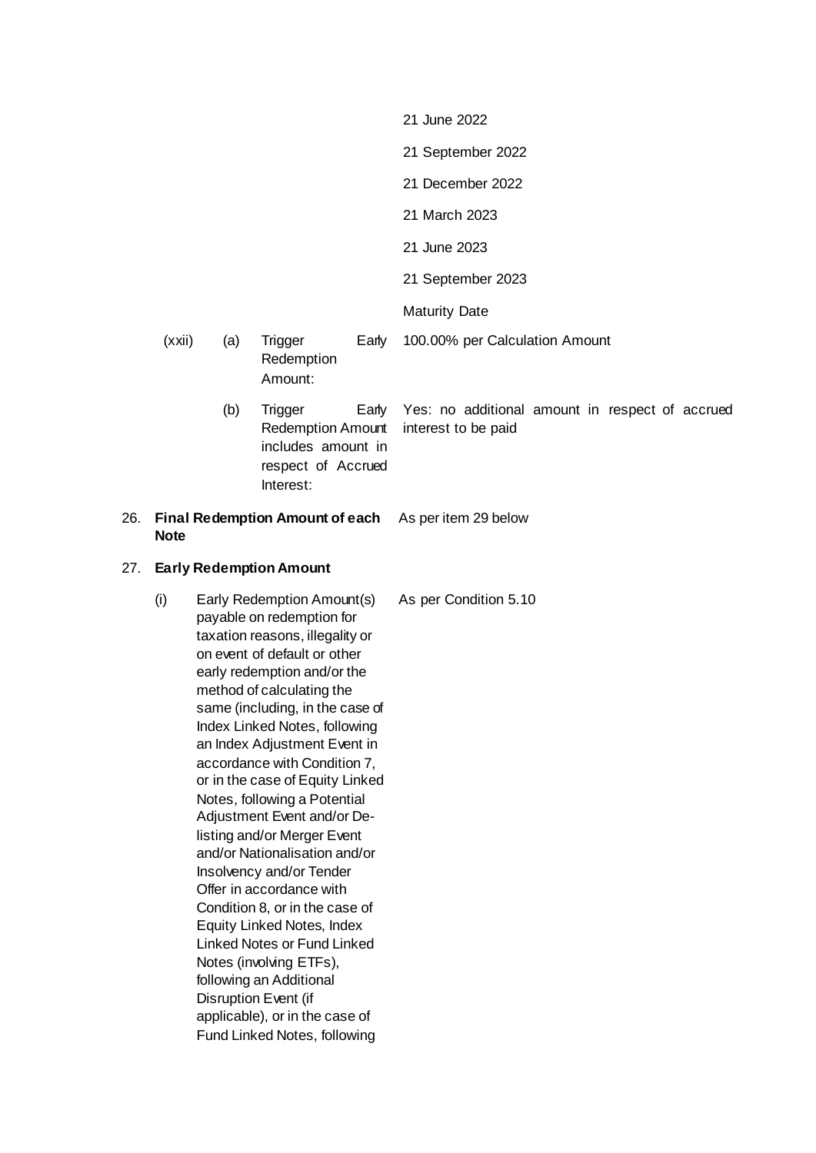|     |             |     |                                                                                                                                                                                                                                                                                                                                                                                                                                                                                                                                                                                                                                                                                                                                                 |       | 21 June 2022                                                           |
|-----|-------------|-----|-------------------------------------------------------------------------------------------------------------------------------------------------------------------------------------------------------------------------------------------------------------------------------------------------------------------------------------------------------------------------------------------------------------------------------------------------------------------------------------------------------------------------------------------------------------------------------------------------------------------------------------------------------------------------------------------------------------------------------------------------|-------|------------------------------------------------------------------------|
|     |             |     |                                                                                                                                                                                                                                                                                                                                                                                                                                                                                                                                                                                                                                                                                                                                                 |       | 21 September 2022                                                      |
|     |             |     |                                                                                                                                                                                                                                                                                                                                                                                                                                                                                                                                                                                                                                                                                                                                                 |       | 21 December 2022                                                       |
|     |             |     |                                                                                                                                                                                                                                                                                                                                                                                                                                                                                                                                                                                                                                                                                                                                                 |       | 21 March 2023                                                          |
|     |             |     |                                                                                                                                                                                                                                                                                                                                                                                                                                                                                                                                                                                                                                                                                                                                                 |       | 21 June 2023                                                           |
|     |             |     |                                                                                                                                                                                                                                                                                                                                                                                                                                                                                                                                                                                                                                                                                                                                                 |       | 21 September 2023                                                      |
|     |             |     |                                                                                                                                                                                                                                                                                                                                                                                                                                                                                                                                                                                                                                                                                                                                                 |       | <b>Maturity Date</b>                                                   |
|     | (xxi)       | (a) | <b>Trigger</b><br>Redemption<br>Amount:                                                                                                                                                                                                                                                                                                                                                                                                                                                                                                                                                                                                                                                                                                         | Early | 100.00% per Calculation Amount                                         |
|     |             | (b) | Trigger<br><b>Redemption Amount</b><br>includes amount in<br>respect of Accrued<br>Interest:                                                                                                                                                                                                                                                                                                                                                                                                                                                                                                                                                                                                                                                    | Early | Yes: no additional amount in respect of accrued<br>interest to be paid |
| 26. | <b>Note</b> |     | <b>Final Redemption Amount of each</b>                                                                                                                                                                                                                                                                                                                                                                                                                                                                                                                                                                                                                                                                                                          |       | As per item 29 below                                                   |
| 27. |             |     | <b>Early Redemption Amount</b>                                                                                                                                                                                                                                                                                                                                                                                                                                                                                                                                                                                                                                                                                                                  |       |                                                                        |
|     | (i)         |     | Early Redemption Amount(s)<br>payable on redemption for<br>taxation reasons, illegality or<br>on event of default or other<br>early redemption and/or the<br>method of calculating the<br>same (including, in the case of<br>Index Linked Notes, following<br>an Index Adjustment Event in<br>accordance with Condition 7,<br>or in the case of Equity Linked<br>Notes, following a Potential<br>Adjustment Event and/or De-<br>listing and/or Merger Event<br>and/or Nationalisation and/or<br>Insolvency and/or Tender<br>Offer in accordance with<br>Condition 8, or in the case of<br><b>Equity Linked Notes, Index</b><br><b>Linked Notes or Fund Linked</b><br>Notes (involving ETFs),<br>following an Additional<br>Disruption Event (if |       | As per Condition 5.10                                                  |

applicable), or in the case of Fund Linked Notes, following

27. **Early Redemption Amount**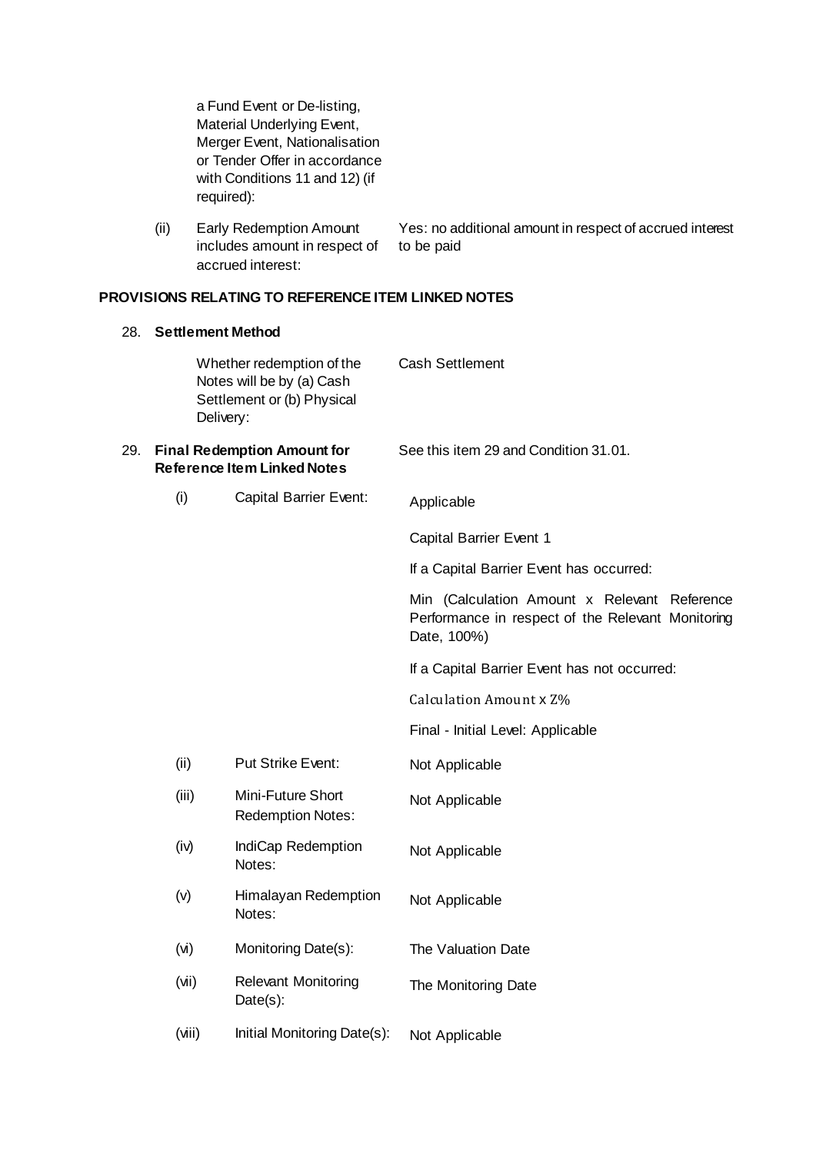a Fund Event or De-listing, Material Underlying Event, Merger Event, Nationalisation or Tender Offer in accordance with Conditions 11 and 12) (if required):

(ii) Early Redemption Amount includes amount in respect of accrued interest: Yes: no additional amount in respect of accrued interest to be paid

# **PROVISIONS RELATING TO REFERENCE ITEM LINKED NOTES**

| 28. | <b>Settlement Method</b> |                                                                                                   |                                                                                                                  |
|-----|--------------------------|---------------------------------------------------------------------------------------------------|------------------------------------------------------------------------------------------------------------------|
|     |                          | Whether redemption of the<br>Notes will be by (a) Cash<br>Settlement or (b) Physical<br>Delivery: | <b>Cash Settlement</b>                                                                                           |
| 29. |                          | <b>Final Redemption Amount for</b><br><b>Reference Item Linked Notes</b>                          | See this item 29 and Condition 31.01.                                                                            |
|     | (i)                      | <b>Capital Barrier Event:</b>                                                                     | Applicable                                                                                                       |
|     |                          |                                                                                                   | <b>Capital Barrier Event 1</b>                                                                                   |
|     |                          |                                                                                                   | If a Capital Barrier Event has occurred:                                                                         |
|     |                          |                                                                                                   | Min (Calculation Amount x Relevant Reference<br>Performance in respect of the Relevant Monitoring<br>Date, 100%) |
|     |                          |                                                                                                   | If a Capital Barrier Event has not occurred:                                                                     |
|     |                          |                                                                                                   | Calculation Amount x Z%                                                                                          |
|     |                          |                                                                                                   | Final - Initial Level: Applicable                                                                                |
|     | (ii)                     | <b>Put Strike Event:</b>                                                                          | Not Applicable                                                                                                   |
|     | (iii)                    | Mini-Future Short<br><b>Redemption Notes:</b>                                                     | Not Applicable                                                                                                   |
|     | (iv)                     | IndiCap Redemption<br>Notes:                                                                      | Not Applicable                                                                                                   |
|     | (v)                      | Himalayan Redemption<br>Notes:                                                                    | Not Applicable                                                                                                   |
|     | $(\mathsf{W})$           | Monitoring Date(s):                                                                               | The Valuation Date                                                                                               |
|     | (iN)                     | <b>Relevant Monitoring</b><br>Date(s):                                                            | The Monitoring Date                                                                                              |
|     | (viii)                   | Initial Monitoring Date(s):                                                                       | Not Applicable                                                                                                   |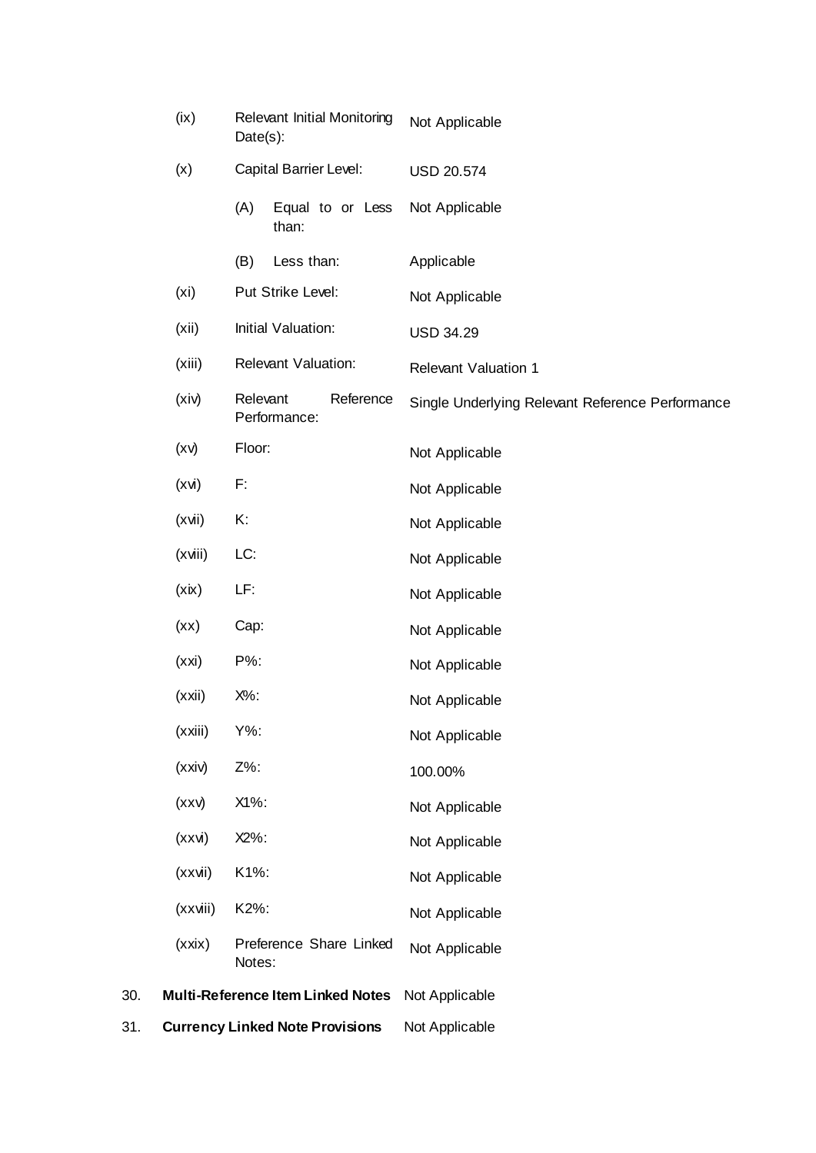|     | (ix)              | <b>Relevant Initial Monitoring</b><br>$Date(s)$ : | Not Applicable                                   |
|-----|-------------------|---------------------------------------------------|--------------------------------------------------|
|     | (x)               | <b>Capital Barrier Level:</b>                     | <b>USD 20.574</b>                                |
|     |                   | (A)<br>Equal to or Less<br>than:                  | Not Applicable                                   |
|     |                   | (B)<br>Less than:                                 | Applicable                                       |
|     | (x <sub>i</sub> ) | Put Strike Level:                                 | Not Applicable                                   |
|     | (xii)             | Initial Valuation:                                | <b>USD 34.29</b>                                 |
|     | (xiii)            | <b>Relevant Valuation:</b>                        | <b>Relevant Valuation 1</b>                      |
|     | (xiv)             | Relevant<br>Reference<br>Performance:             | Single Underlying Relevant Reference Performance |
|     | (xv)              | Floor:                                            | Not Applicable                                   |
|     | (xvi)             | F:                                                | Not Applicable                                   |
|     | (xvi)             | Κ.                                                | Not Applicable                                   |
|     | (xviii)           | LC:                                               | Not Applicable                                   |
|     | (xix)             | LF:                                               | Not Applicable                                   |
|     | (xx)              | Cap:                                              | Not Applicable                                   |
|     | (xxi)             | P%:                                               | Not Applicable                                   |
|     | (xxi)             | X%:                                               | Not Applicable                                   |
|     | (xxiii)           | Y%:                                               | Not Applicable                                   |
|     | (xxi)             | Z%:                                               | 100.00%                                          |
|     | (xxy)             | X1%:                                              | Not Applicable                                   |
|     | (xxi)             | $X2\%$ :                                          | Not Applicable                                   |
|     | (xxvii)           | K1%:                                              | Not Applicable                                   |
|     | (xxviii)          | K2%:                                              | Not Applicable                                   |
|     | (xxix)            | Preference Share Linked<br>Notes:                 | Not Applicable                                   |
| 30. |                   | <b>Multi-Reference Item Linked Notes</b>          | Not Applicable                                   |
| 31. |                   | <b>Currency Linked Note Provisions</b>            | Not Applicable                                   |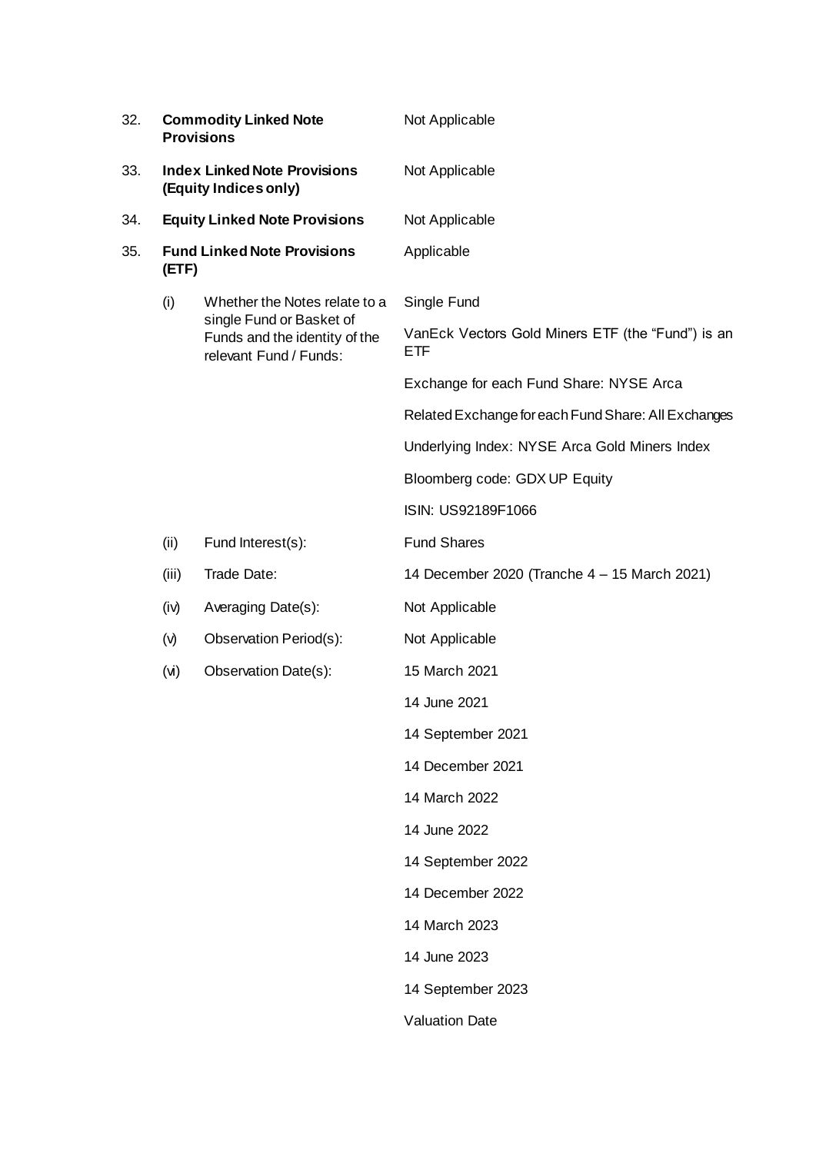| 32. |                                                                                                      | <b>Commodity Linked Note</b><br><b>Provisions</b>                                   | Not Applicable                                                  |
|-----|------------------------------------------------------------------------------------------------------|-------------------------------------------------------------------------------------|-----------------------------------------------------------------|
| 33. | <b>Index Linked Note Provisions</b><br>(Equity Indices only)<br><b>Equity Linked Note Provisions</b> |                                                                                     | Not Applicable                                                  |
| 34. |                                                                                                      |                                                                                     | Not Applicable                                                  |
| 35. | (ETF)                                                                                                | <b>Fund Linked Note Provisions</b>                                                  | Applicable                                                      |
|     | (i)                                                                                                  | Whether the Notes relate to a                                                       | Single Fund                                                     |
|     |                                                                                                      | single Fund or Basket of<br>Funds and the identity of the<br>relevant Fund / Funds: | VanEck Vectors Gold Miners ETF (the "Fund") is an<br><b>ETF</b> |
|     |                                                                                                      |                                                                                     | Exchange for each Fund Share: NYSE Arca                         |
|     |                                                                                                      |                                                                                     | Related Exchange for each Fund Share: All Exchanges             |
|     |                                                                                                      |                                                                                     | Underlying Index: NYSE Arca Gold Miners Index                   |
|     |                                                                                                      |                                                                                     | Bloomberg code: GDX UP Equity                                   |
|     |                                                                                                      |                                                                                     | ISIN: US92189F1066                                              |
|     | (ii)                                                                                                 | Fund Interest(s):                                                                   | <b>Fund Shares</b>                                              |
|     | (iii)                                                                                                | Trade Date:                                                                         | 14 December 2020 (Tranche 4 - 15 March 2021)                    |
|     | (iv)                                                                                                 | Averaging Date(s):                                                                  | Not Applicable                                                  |
|     | (v)                                                                                                  | Observation Period(s):                                                              | Not Applicable                                                  |
|     | (v)                                                                                                  | Observation Date(s):                                                                | 15 March 2021                                                   |
|     |                                                                                                      |                                                                                     | 14 June 2021                                                    |
|     |                                                                                                      |                                                                                     | 14 September 2021                                               |
|     |                                                                                                      |                                                                                     | 14 December 2021                                                |
|     |                                                                                                      |                                                                                     | 14 March 2022                                                   |
|     |                                                                                                      |                                                                                     | 14 June 2022                                                    |
|     |                                                                                                      |                                                                                     | 14 September 2022                                               |
|     |                                                                                                      |                                                                                     | 14 December 2022                                                |
|     |                                                                                                      |                                                                                     | 14 March 2023                                                   |
|     |                                                                                                      |                                                                                     | 14 June 2023                                                    |
|     |                                                                                                      |                                                                                     | 14 September 2023                                               |
|     |                                                                                                      |                                                                                     | <b>Valuation Date</b>                                           |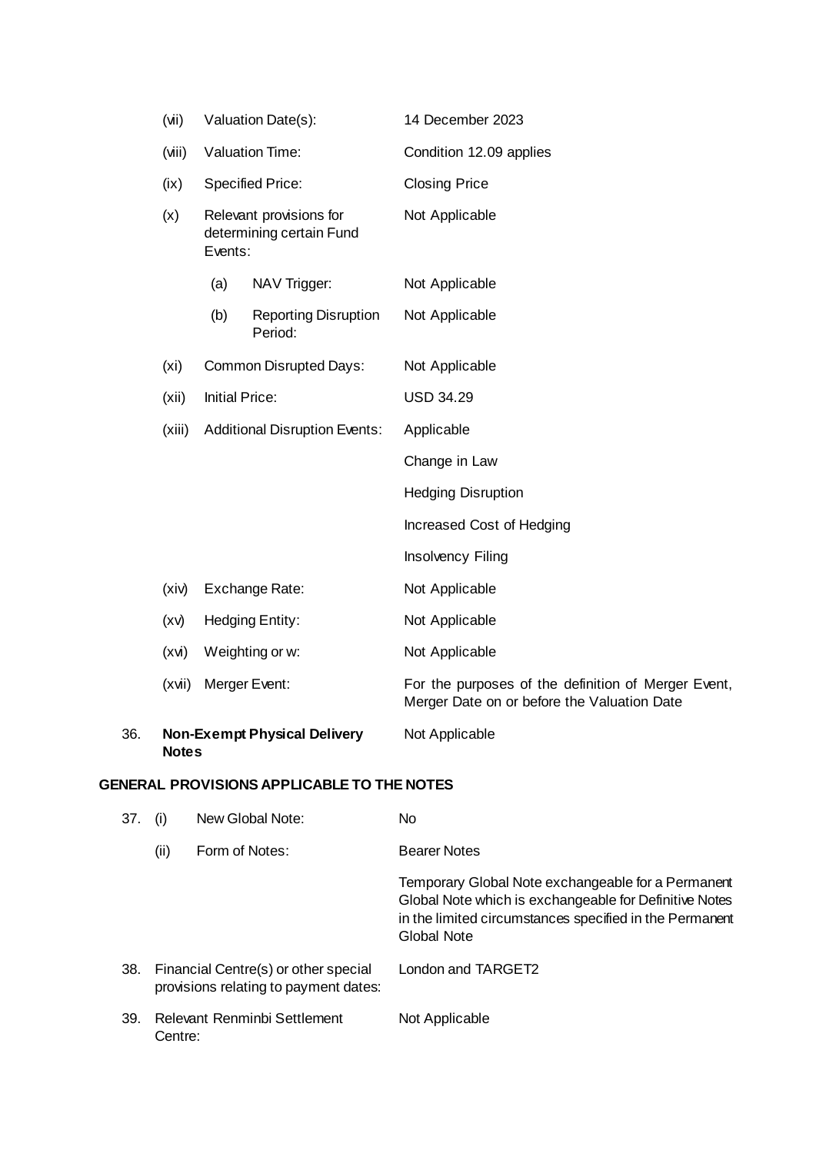|     | (iiv)             |                                                 | Valuation Date(s):                                  | 14 December 2023                                                                                   |
|-----|-------------------|-------------------------------------------------|-----------------------------------------------------|----------------------------------------------------------------------------------------------------|
|     | (viii)            |                                                 | Valuation Time:                                     | Condition 12.09 applies                                                                            |
|     | (ix)              |                                                 | <b>Specified Price:</b>                             | <b>Closing Price</b>                                                                               |
|     | (x)               | Events:                                         | Relevant provisions for<br>determining certain Fund | Not Applicable                                                                                     |
|     |                   | (a)                                             | NAV Trigger:                                        | Not Applicable                                                                                     |
|     |                   | (b)                                             | <b>Reporting Disruption</b><br>Period:              | Not Applicable                                                                                     |
|     | (x <sub>i</sub> ) | Common Disrupted Days:<br><b>Initial Price:</b> |                                                     | Not Applicable                                                                                     |
|     | (xii)             |                                                 |                                                     | <b>USD 34.29</b>                                                                                   |
|     | (xiii)            |                                                 | <b>Additional Disruption Events:</b>                | Applicable                                                                                         |
|     |                   |                                                 |                                                     | Change in Law                                                                                      |
|     |                   |                                                 |                                                     | <b>Hedging Disruption</b>                                                                          |
|     |                   |                                                 |                                                     | Increased Cost of Hedging                                                                          |
|     |                   |                                                 |                                                     | Insolvency Filing                                                                                  |
|     | (xiv)             |                                                 | Exchange Rate:                                      | Not Applicable                                                                                     |
|     | (xv)              |                                                 | <b>Hedging Entity:</b>                              | Not Applicable                                                                                     |
|     | (xvi)             |                                                 | Weighting or w:                                     | Not Applicable                                                                                     |
|     | (xvi)             |                                                 | Merger Event:                                       | For the purposes of the definition of Merger Event,<br>Merger Date on or before the Valuation Date |
| 36. | <b>Notes</b>      |                                                 | <b>Non-Exempt Physical Delivery</b>                 | Not Applicable                                                                                     |

## **GENERAL PROVISIONS APPLICABLE TO THE NOTES**

| 37. | (1)     | New Global Note:                                                              | No                                                                                                                                                                                            |
|-----|---------|-------------------------------------------------------------------------------|-----------------------------------------------------------------------------------------------------------------------------------------------------------------------------------------------|
|     | (ii)    | Form of Notes:                                                                | <b>Bearer Notes</b>                                                                                                                                                                           |
|     |         |                                                                               | Temporary Global Note exchangeable for a Permanent<br>Global Note which is exchangeable for Definitive Notes<br>in the limited circumstances specified in the Permanent<br><b>Global Note</b> |
| 38. |         | Financial Centre(s) or other special<br>provisions relating to payment dates: | London and TARGET2                                                                                                                                                                            |
| 39. | Centre: | Relevant Renminbi Settlement                                                  | Not Applicable                                                                                                                                                                                |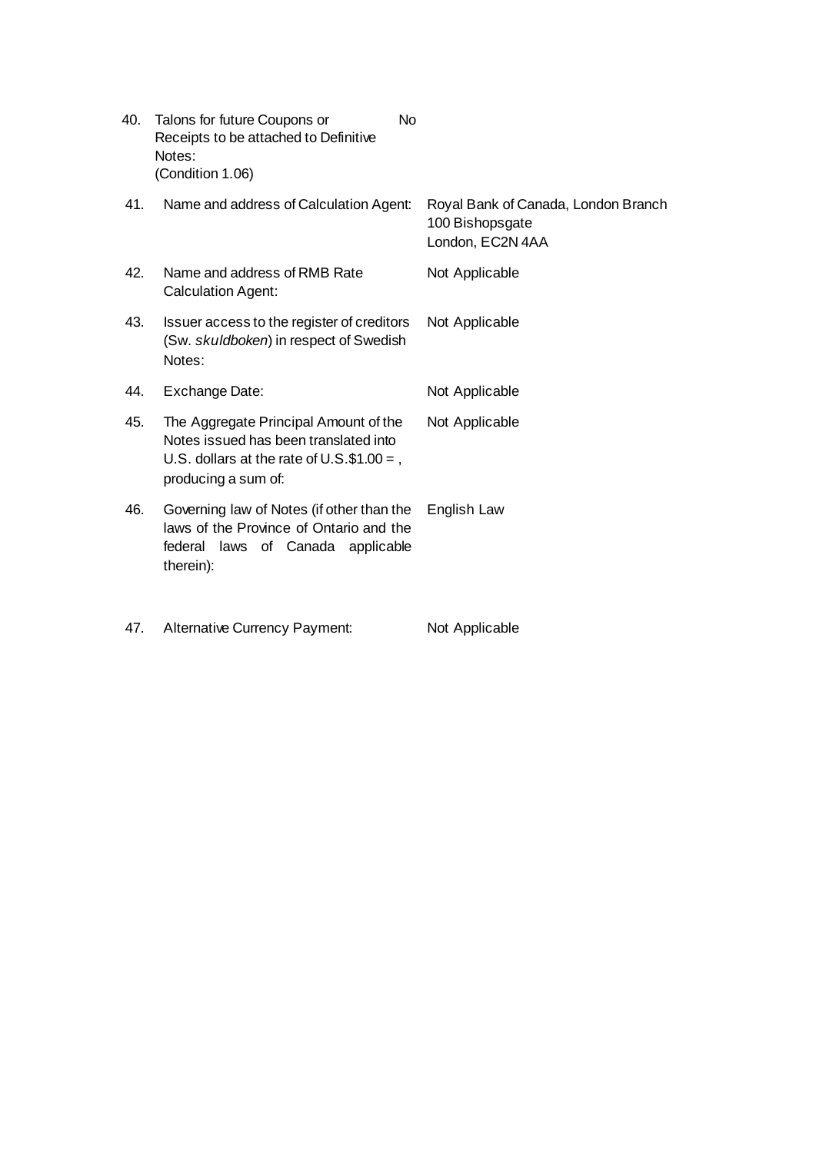| 40. | Talons for future Coupons or          | No. |
|-----|---------------------------------------|-----|
|     | Receipts to be attached to Definitive |     |
|     | Notes:                                |     |
|     | (Condition 1.06)                      |     |

| 41. | Name and address of Calculation Agent:                                                                                                                | Royal Bank of Canada, London Branch<br>100 Bishopsgate<br>London, EC2N 4AA |
|-----|-------------------------------------------------------------------------------------------------------------------------------------------------------|----------------------------------------------------------------------------|
| 42. | Name and address of RMB Rate<br><b>Calculation Agent:</b>                                                                                             | Not Applicable                                                             |
| 43. | Issuer access to the register of creditors<br>(Sw. skuldboken) in respect of Swedish<br>Notes:                                                        | Not Applicable                                                             |
| 44. | Exchange Date:                                                                                                                                        | Not Applicable                                                             |
| 45. | The Aggregate Principal Amount of the<br>Notes issued has been translated into<br>U.S. dollars at the rate of U.S. $$1.00 =$ ,<br>producing a sum of: | Not Applicable                                                             |
| 46. | Governing law of Notes (if other than the<br>laws of the Province of Ontario and the<br>federal laws of Canada applicable<br>therein):                | English Law                                                                |
| 47. | Alternative Currency Payment:                                                                                                                         | Not Applicable                                                             |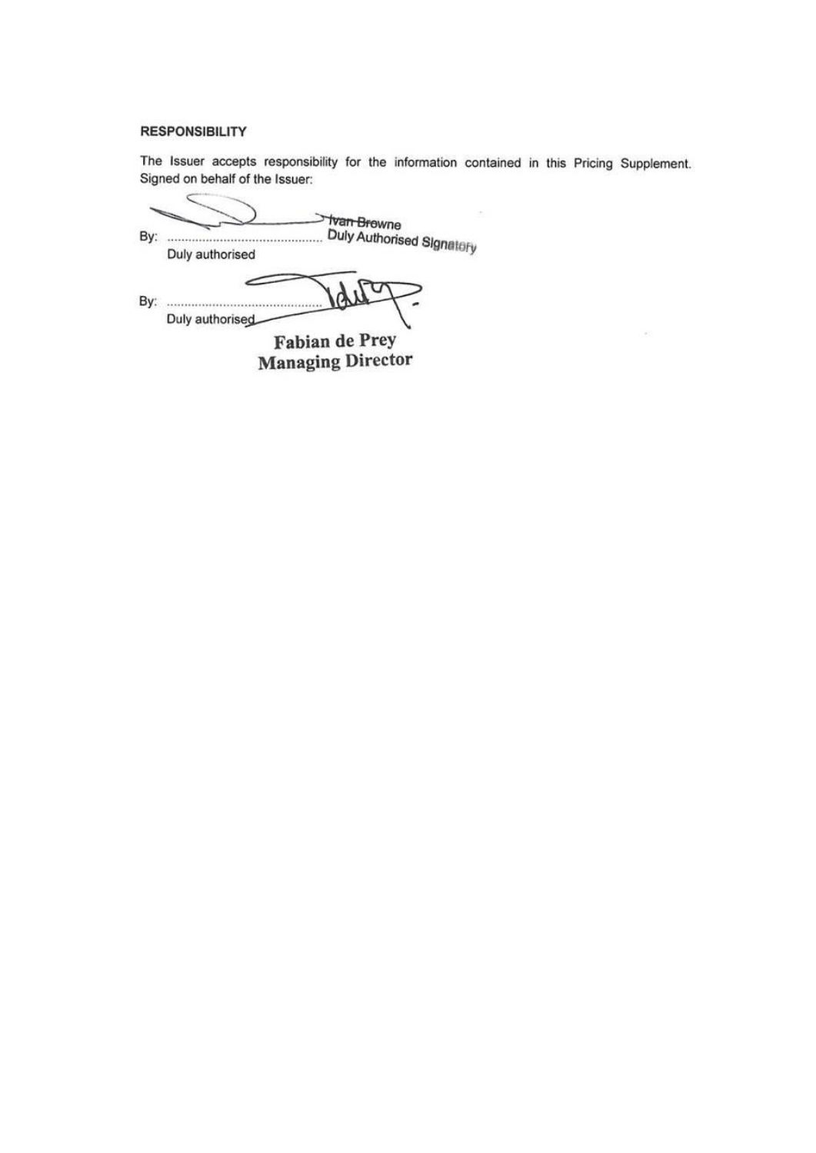### **RESPONSIBILITY**

The Issuer accepts responsibility for the information contained in this Pricing Supplement. Signed on behalf of the Issuer:

 $\sim$ 

 $\subset$ **Van Brewne** By: Duly Authorised Signatory Duly authorised  $\delta$ Duly authorised Fabian de Prey

**Managing Director**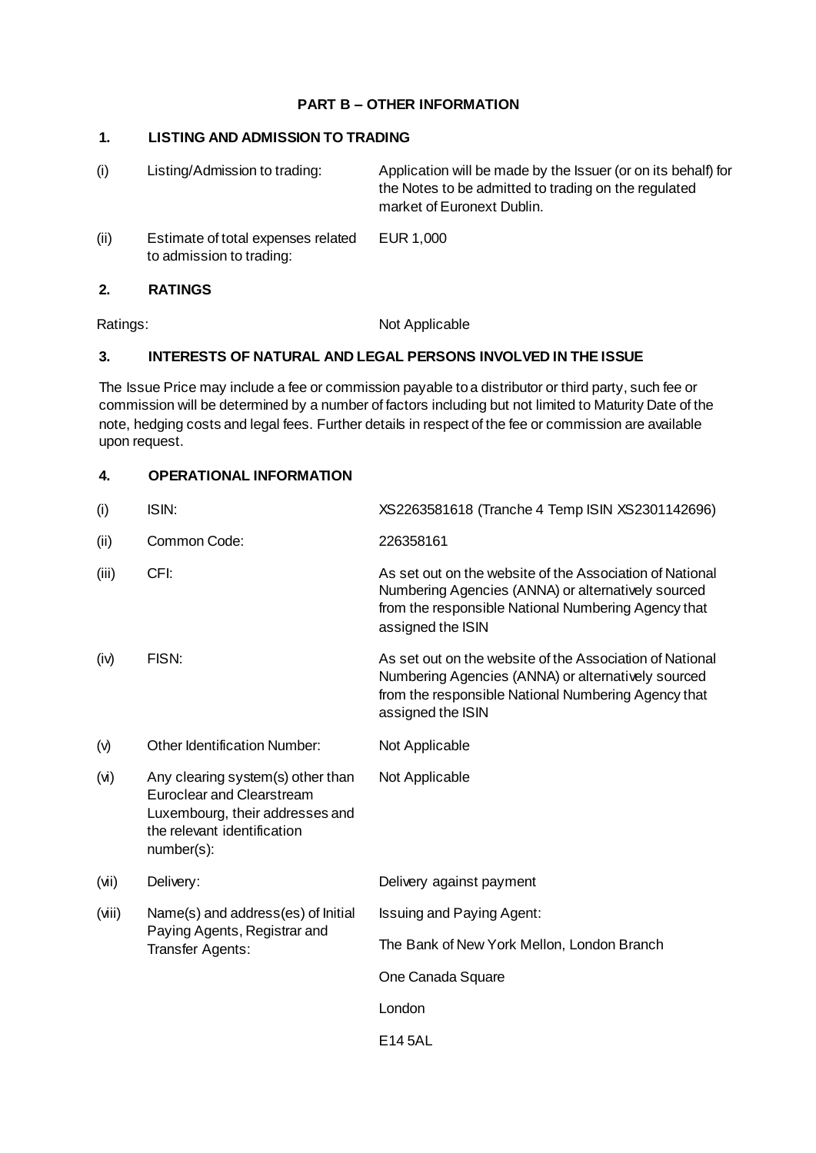## **PART B – OTHER INFORMATION**

# **1. LISTING AND ADMISSION TO TRADING**

| (i)  | Listing/Admission to trading:                                  | Application will be made by the Issuer (or on its behalf) for<br>the Notes to be admitted to trading on the regulated<br>market of Euronext Dublin. |
|------|----------------------------------------------------------------|-----------------------------------------------------------------------------------------------------------------------------------------------------|
| (ii) | Estimate of total expenses related<br>to admission to trading: | EUR 1.000                                                                                                                                           |

## **2. RATINGS**

Ratings: Not Applicable

# **3. INTERESTS OF NATURAL AND LEGAL PERSONS INVOLVED IN THE ISSUE**

The Issue Price may include a fee or commission payable to a distributor or third party, such fee or commission will be determined by a number of factors including but not limited to Maturity Date of the note, hedging costs and legal fees. Further details in respect of the fee or commission are available upon request.

# **4. OPERATIONAL INFORMATION**

| (i)      | ISIN:                                                                                                                                                 | XS2263581618 (Tranche 4 Temp ISIN XS2301142696)                                                                                                                                            |
|----------|-------------------------------------------------------------------------------------------------------------------------------------------------------|--------------------------------------------------------------------------------------------------------------------------------------------------------------------------------------------|
| (ii)     | Common Code:                                                                                                                                          | 226358161                                                                                                                                                                                  |
| (iii)    | CFI:                                                                                                                                                  | As set out on the website of the Association of National<br>Numbering Agencies (ANNA) or alternatively sourced<br>from the responsible National Numbering Agency that<br>assigned the ISIN |
| (iv)     | FISN:                                                                                                                                                 | As set out on the website of the Association of National<br>Numbering Agencies (ANNA) or alternatively sourced<br>from the responsible National Numbering Agency that<br>assigned the ISIN |
| $(\vee)$ | <b>Other Identification Number:</b>                                                                                                                   | Not Applicable                                                                                                                                                                             |
| (v)      | Any clearing system(s) other than<br><b>Euroclear and Clearstream</b><br>Luxembourg, their addresses and<br>the relevant identification<br>number(s): | Not Applicable                                                                                                                                                                             |
| (vii)    | Delivery:                                                                                                                                             | Delivery against payment                                                                                                                                                                   |
| (viii)   | Name(s) and address(es) of Initial                                                                                                                    | Issuing and Paying Agent:                                                                                                                                                                  |
|          | Paying Agents, Registrar and<br>Transfer Agents:                                                                                                      | The Bank of New York Mellon, London Branch                                                                                                                                                 |
|          |                                                                                                                                                       | One Canada Square                                                                                                                                                                          |
|          |                                                                                                                                                       | London                                                                                                                                                                                     |
|          |                                                                                                                                                       | E14 5AL                                                                                                                                                                                    |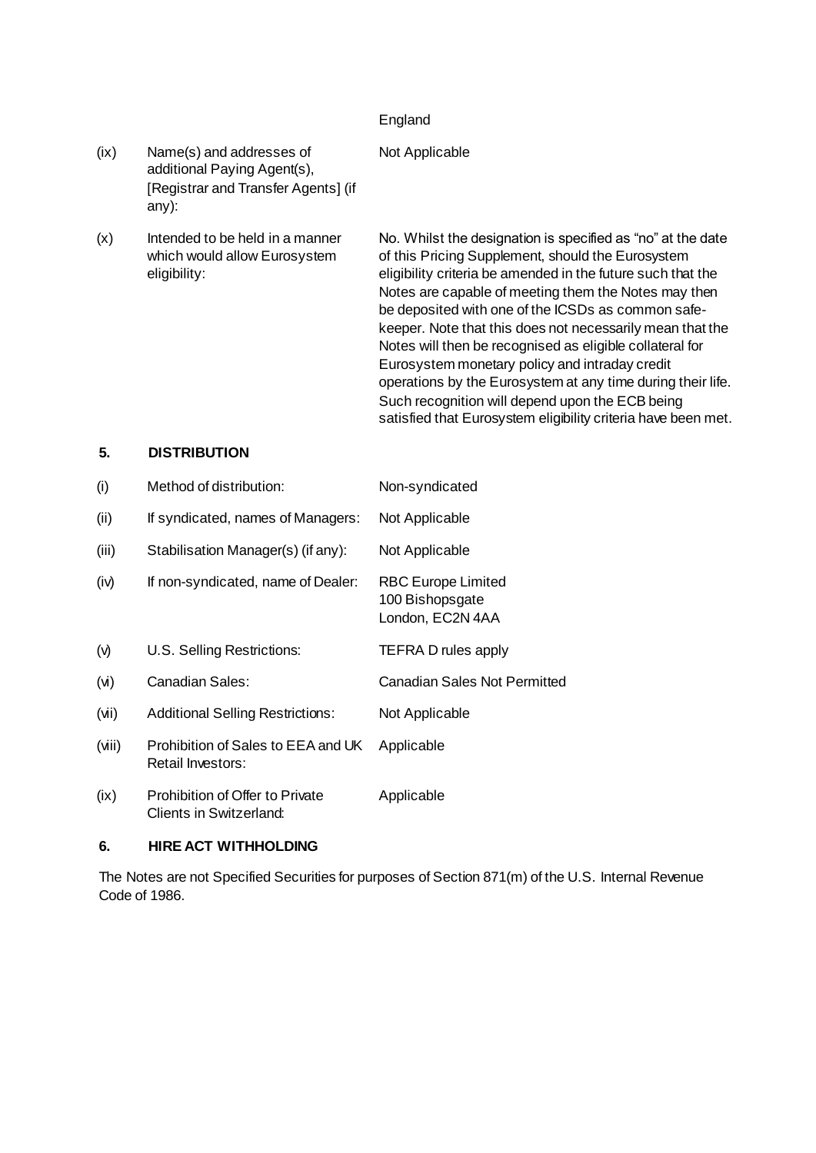### England

### Not Applicable

- (ix) Name(s) and addresses of additional Paying Agent(s), [Registrar and Transfer Agents] (if any):
- $(x)$  Intended to be held in a manner which would allow Eurosystem eligibility:

No. Whilst the designation is specified as "no" at the date of this Pricing Supplement, should the Eurosystem eligibility criteria be amended in the future such that the Notes are capable of meeting them the Notes may then be deposited with one of the ICSDs as common safekeeper. Note that this does not necessarily mean that the Notes will then be recognised as eligible collateral for Eurosystem monetary policy and intraday credit operations by the Eurosystem at any time during their life. Such recognition will depend upon the ECB being satisfied that Eurosystem eligibility criteria have been met.

## **5. DISTRIBUTION**

| (i)   | Method of distribution:                                    | Non-syndicated                                                   |
|-------|------------------------------------------------------------|------------------------------------------------------------------|
| (ii)  | If syndicated, names of Managers:                          | Not Applicable                                                   |
| (iii) | Stabilisation Manager(s) (if any):                         | Not Applicable                                                   |
| (iv)  | If non-syndicated, name of Dealer:                         | <b>RBC Europe Limited</b><br>100 Bishopsgate<br>London, EC2N 4AA |
| (v)   | U.S. Selling Restrictions:                                 | <b>TEFRA D rules apply</b>                                       |
| (v)   | Canadian Sales:                                            | <b>Canadian Sales Not Permitted</b>                              |
| (iiv) | <b>Additional Selling Restrictions:</b>                    | Not Applicable                                                   |
| (iii) | Prohibition of Sales to EEA and UK<br>Retail Investors:    | Applicable                                                       |
| (ix)  | Prohibition of Offer to Private<br>Clients in Switzerland: | Applicable                                                       |

### **6. HIRE ACT WITHHOLDING**

The Notes are not Specified Securities for purposes of Section 871(m) of the U.S. Internal Revenue Code of 1986.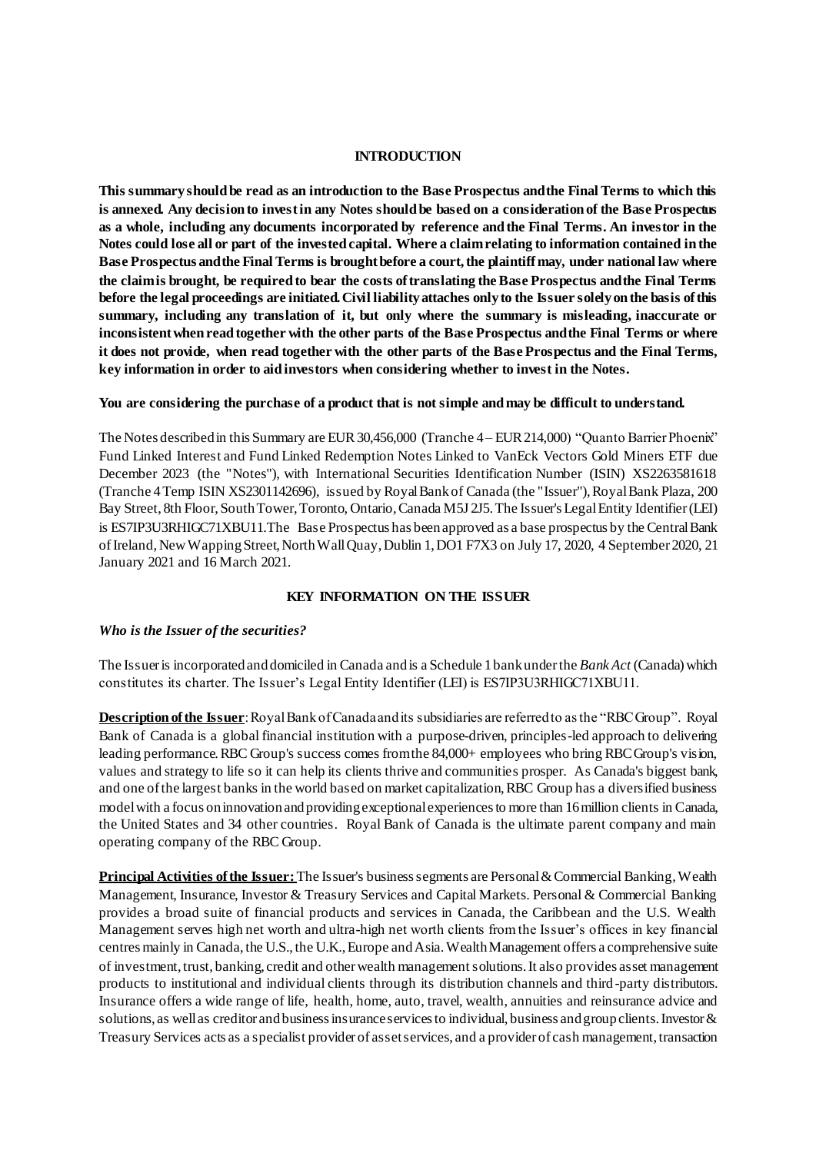#### **INTRODUCTION**

**This summary should be read as an introduction to the Base Prospectus and the Final Terms to which this is annexed. Any decision to invest in any Notes should be based on a consideration of the Base Prospectus as a whole, including any documents incorporated by reference and the Final Terms. An investor in the Notes could lose all or part of the invested capital. Where a claim relating to information contained in the Base Prospectus and the Final Terms is brought before a court, the plaintiff may, under national law where the claim is brought, be required to bear the costs of translating the Base Prospectus and the Final Terms before the legal proceedings are initiated. Civil liability attaches only to the Issuer solely on the basis of this summary, including any translation of it, but only where the summary is misleading, inaccurate or inconsistent when read together with the other parts of the Base Prospectus and the Final Terms or where it does not provide, when read together with the other parts of the Base Prospectus and the Final Terms, key information in order to aid investors when considering whether to invest in the Notes.**

#### **You are considering the purchase of a product that is not simple and may be difficult to understand.**

The Notes described in this Summary are EUR 30,456,000 (Tranche 4– EUR 214,000) "Quanto Barrier Phoenix" Fund Linked Interest and Fund Linked Redemption Notes Linked to VanEck Vectors Gold Miners ETF due December 2023 (the "Notes"), with International Securities Identification Number (ISIN) XS2263581618 (Tranche 4Temp ISIN XS2301142696), issued by Royal Bank of Canada (the "Issuer"), Royal Bank Plaza, 200 Bay Street, 8th Floor, South Tower, Toronto, Ontario, Canada M5J 2J5. The Issuer's Legal Entity Identifier (LEI) is ES7IP3U3RHIGC71XBU11.The Base Prospectus has been approved as a base prospectus by the Central Bank of Ireland, New Wapping Street, North Wall Quay, Dublin 1, DO1 F7X3 on July 17, 2020, 4 September 2020, 21 January 2021 and 16 March 2021.

#### **KEY INFORMATION ON THE ISSUER**

#### *Who is the Issuer of the securities?*

The Issuer is incorporated and domiciled in Canada and is a Schedule 1 bank under the *Bank Act* (Canada) which constitutes its charter. The Issuer's Legal Entity Identifier (LEI) is ES7IP3U3RHIGC71XBU11.

**Description of the Issuer**: Royal Bank of Canada and its subsidiaries are referred to as the "RBC Group". Royal Bank of Canada is a global financial institution with a purpose-driven, principles-led approach to delivering leading performance. RBC Group's success comes from the 84,000+ employees who bring RBC Group's vision, values and strategy to life so it can help its clients thrive and communities prosper. As Canada's biggest bank, and one of the largest banks in the world based on market capitalization, RBC Group has a diversified business model with a focus on innovation and providing exceptional experiences to more than 16 million clients in Canada, the United States and 34 other countries. Royal Bank of Canada is the ultimate parent company and main operating company of the RBC Group.

**Principal Activities of the Issuer:** The Issuer's business segments are Personal & Commercial Banking, Wealth Management, Insurance, Investor & Treasury Services and Capital Markets. Personal & Commercial Banking provides a broad suite of financial products and services in Canada, the Caribbean and the U.S. Wealth Management serves high net worth and ultra-high net worth clients from the Issuer's offices in key financial centres mainly in Canada, the U.S., the U.K., Europe and Asia. Wealth Management offers a comprehensive suite of investment, trust, banking, credit and other wealth management solutions. It also provides asset management products to institutional and individual clients through its distribution channels and third -party distributors. Insurance offers a wide range of life, health, home, auto, travel, wealth, annuities and reinsurance advice and solutions, as well as creditor and business insurance services to individual, business and group clients. Investor & Treasury Services acts as a specialist provider of asset services, and a provider of cash management, transaction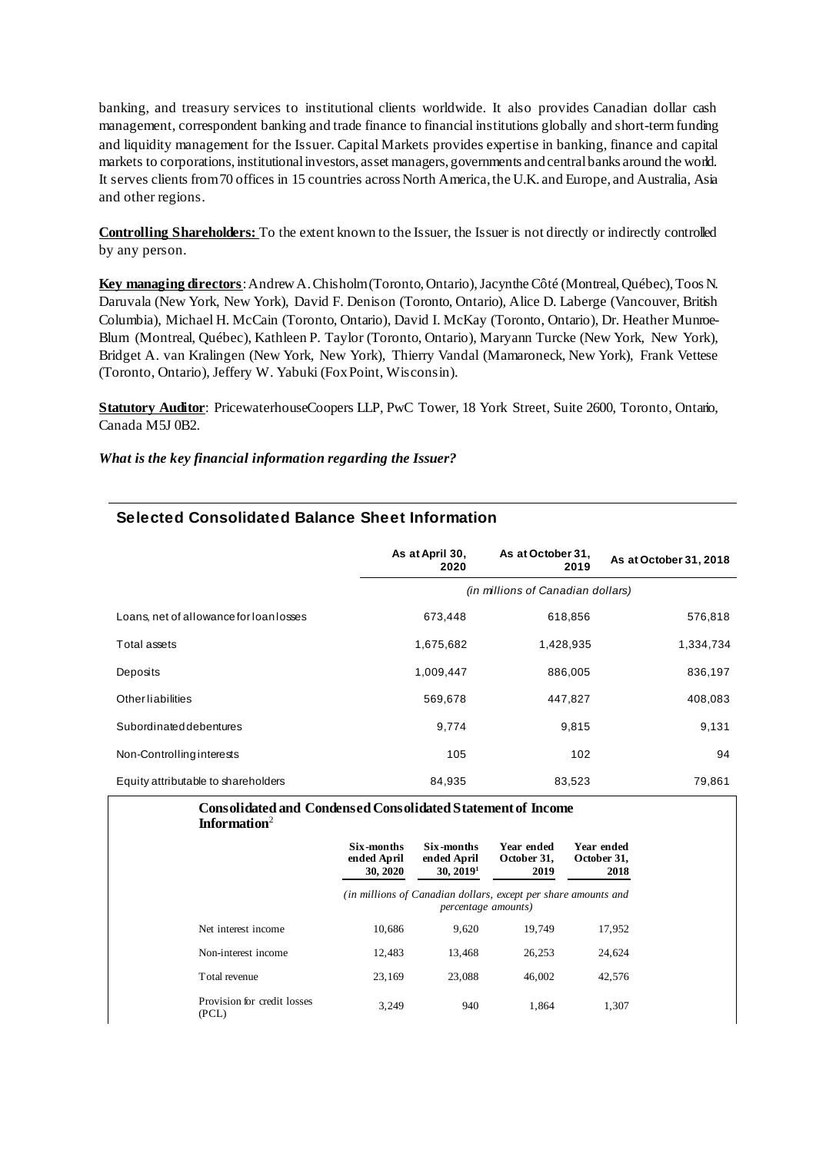banking, and treasury services to institutional clients worldwide. It also provides Canadian dollar cash management, correspondent banking and trade finance to financial institutions globally and short-term funding and liquidity management for the Issuer. Capital Markets provides expertise in banking, finance and capital markets to corporations, institutional investors, asset managers, governments and central banks around the world. It serves clients from 70 offices in 15 countries across North America, the U.K. and Europe, and Australia, Asia and other regions.

**Controlling Shareholders:** To the extent known to the Issuer, the Issuer is not directly or indirectly controlled by any person.

**Key managing directors**: Andrew A. Chisholm(Toronto, Ontario), Jacynthe Côté (Montreal, Québec), Toos N. Daruvala (New York, New York), David F. Denison (Toronto, Ontario), Alice D. Laberge (Vancouver, British Columbia), Michael H. McCain (Toronto, Ontario), David I. McKay (Toronto, Ontario), Dr. Heather Munroe-Blum (Montreal, Québec), Kathleen P. Taylor (Toronto, Ontario), Maryann Turcke (New York, New York), Bridget A. van Kralingen (New York, New York), Thierry Vandal (Mamaroneck, New York), Frank Vettese (Toronto, Ontario), Jeffery W. Yabuki (Fox Point, Wisconsin).

**Statutory Auditor**: PricewaterhouseCoopers LLP, PwC Tower, 18 York Street, Suite 2600, Toronto, Ontario, Canada M5J 0B2.

#### *What is the key financial information regarding the Issuer?*

|                                         | As at April 30,<br>2020 | As at October 31,<br>2019         | As at October 31, 2018 |
|-----------------------------------------|-------------------------|-----------------------------------|------------------------|
|                                         |                         | (in millions of Canadian dollars) |                        |
| Loans, net of allowance for loan losses | 673,448                 | 618,856                           | 576,818                |
| Total assets                            | 1,675,682               | 1,428,935                         | 1,334,734              |
| Deposits                                | 1,009,447               | 886,005                           | 836,197                |
| <b>Other liabilities</b>                | 569,678                 | 447,827                           | 408,083                |
| Subordinated debentures                 | 9,774                   | 9,815                             | 9,131                  |
| Non-Controlling interests               | 105                     | 102                               | 94                     |
| Equity attributable to shareholders     | 84.935                  | 83.523                            | 79.861                 |

### **Selected Consolidated Balance Sheet Information**

| <b>Consolidated and Condensed Consolidated Statement of Income</b><br>Information $2$ |                                       |                                                                                       |                                   |                                   |
|---------------------------------------------------------------------------------------|---------------------------------------|---------------------------------------------------------------------------------------|-----------------------------------|-----------------------------------|
|                                                                                       | Six-months<br>ended April<br>30, 2020 | Six-months<br>ended April<br>30, 2019 <sup>1</sup>                                    | Year ended<br>October 31,<br>2019 | Year ended<br>October 31,<br>2018 |
|                                                                                       |                                       | (in millions of Canadian dollars, except per share amounts and<br>percentage amounts) |                                   |                                   |
| Net interest income                                                                   | 10.686                                | 9.620                                                                                 | 19.749                            | 17,952                            |
| Non-interest income                                                                   | 12.483                                | 13,468                                                                                | 26.253                            | 24,624                            |
| Total revenue                                                                         | 23.169                                | 23,088                                                                                | 46,002                            | 42,576                            |
| Provision for credit losses<br>(PCL)                                                  | 3,249                                 | 940                                                                                   | 1.864                             | 1,307                             |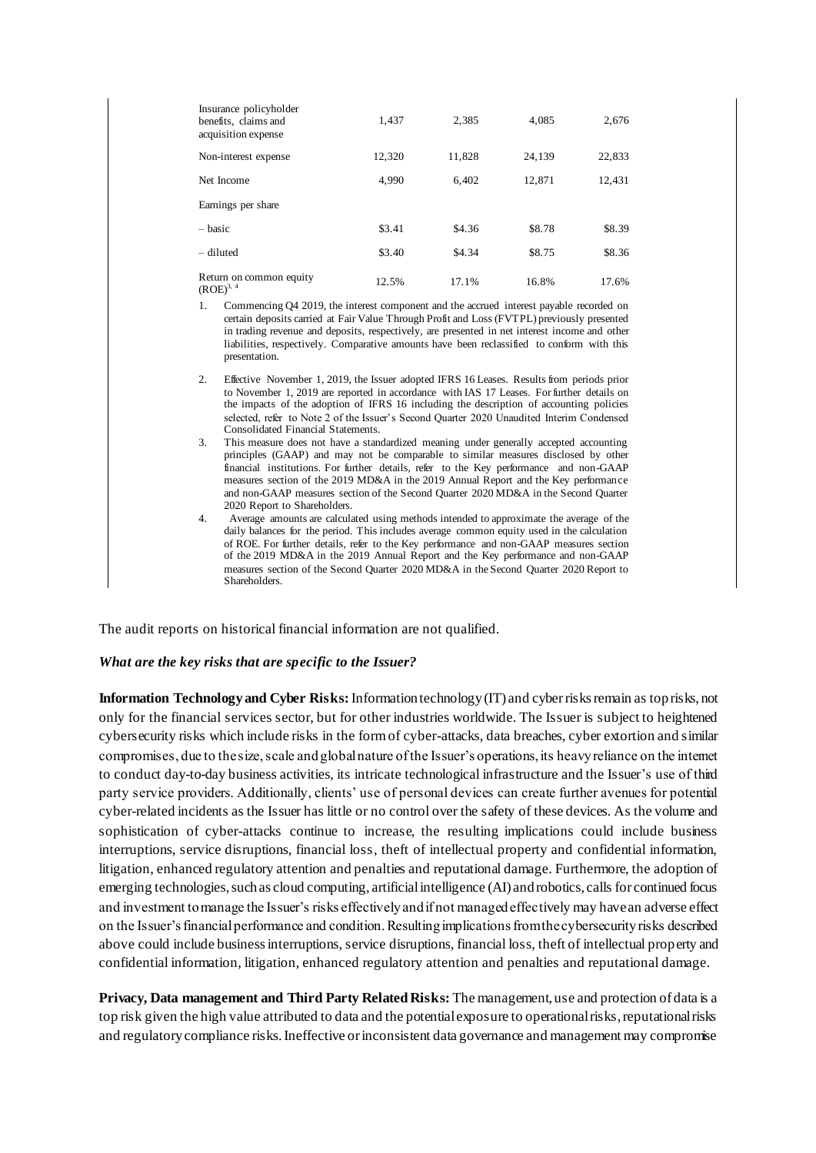| Insurance policyholder<br>benefits, claims and<br>acquisition expense | 1.437  | 2,385  | 4.085  | 2.676  |
|-----------------------------------------------------------------------|--------|--------|--------|--------|
| Non-interest expense                                                  | 12.320 | 11,828 | 24,139 | 22,833 |
| Net Income                                                            | 4.990  | 6.402  | 12,871 | 12,431 |
| Earnings per share                                                    |        |        |        |        |
| $-basic$                                                              | \$3.41 | \$4.36 | \$8.78 | \$8.39 |
| - diluted                                                             | \$3.40 | \$4.34 | \$8.75 | \$8.36 |
| Return on common equity<br>$(ROE)^{3, 4}$                             | 12.5%  | 17.1%  | 16.8%  | 17.6%  |

- 1. Commencing Q4 2019, the interest component and the accrued interest payable recorded on certain deposits carried at Fair Value Through Profit and Loss (FVTPL) previously presented in trading revenue and deposits, respectively, are presented in net interest income and other liabilities, respectively. Comparative amounts have been reclassified to conform with this presentation.
- 2. Effective November 1, 2019, the Issuer adopted IFRS 16 Leases. Results from periods prior to November 1, 2019 are reported in accordance with IAS 17 Leases. For further details on the impacts of the adoption of IFRS 16 including the description of accounting policies selected, refer to Note 2 of the Issuer's Second Quarter 2020 Unaudited Interim Condensed Consolidated Financial Statements.
- 3. This measure does not have a standardized meaning under generally accepted accounting principles (GAAP) and may not be comparable to similar measures disclosed by other financial institutions. For further details, refer to the Key performance and non-GAAP measures section of the 2019 MD&A in the 2019 Annual Report and the Key performance and non-GAAP measures section of the Second Quarter 2020 MD&A in the Second Quarter 2020 Report to Shareholders.
- 4. Average amounts are calculated using methods intended to approximate the average of the daily balances for the period. This includes average common equity used in the calculation of ROE. For further details, refer to the Key performance and non-GAAP measures section of the 2019 MD&A in the 2019 Annual Report and the Key performance and non-GAAP measures section of the Second Quarter 2020 MD&A in the Second Quarter 2020 Report to Shareholders.

The audit reports on historical financial information are not qualified.

#### *What are the key risks that are specific to the Issuer?*

**Information Technology and Cyber Risks:**Information technology (IT) and cyber risks remain as top risks, not only for the financial services sector, but for other industries worldwide. The Issuer is subject to heightened cybersecurity risks which include risks in the form of cyber-attacks, data breaches, cyber extortion and similar compromises, due to the size, scale and global nature of the Issuer's operations, its heavy reliance on the internet to conduct day-to-day business activities, its intricate technological infrastructure and the Issuer's use of third party service providers. Additionally, clients' use of personal devices can create further avenues for potential cyber-related incidents as the Issuer has little or no control over the safety of these devices. As the volume and sophistication of cyber-attacks continue to increase, the resulting implications could include business interruptions, service disruptions, financial loss, theft of intellectual property and confidential information, litigation, enhanced regulatory attention and penalties and reputational damage. Furthermore, the adoption of emerging technologies, such as cloud computing, artificial intelligence (AI) and robotics, calls for continued focus and investment to manage the Issuer's risks effectively and if not managed effectively may have an adverse effect on the Issuer's financial performance and condition. Resulting implications from the cybersecurity risks described above could include business interruptions, service disruptions, financial loss, theft of intellectual property and confidential information, litigation, enhanced regulatory attention and penalties and reputational damage.

**Privacy, Data management and Third Party Related Risks:** The management, use and protection of data is a top risk given the high value attributed to data and the potential exposure to operational risks, reputational risks and regulatory compliance risks. Ineffective or inconsistent data governance and management may compromise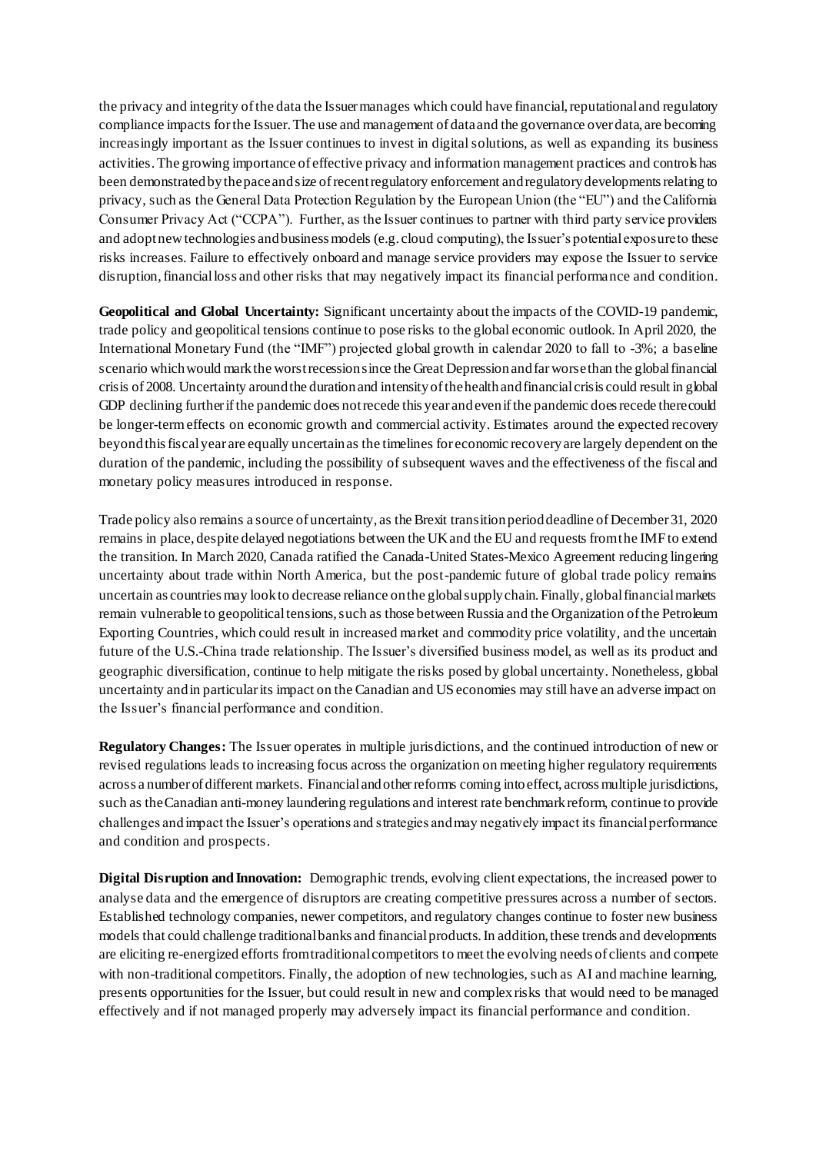the privacy and integrity of the data the Issuer manages which could have financial, reputational and regulatory compliance impacts for the Issuer. The use and management of data and the governance over data, are becoming increasingly important as the Issuer continues to invest in digital solutions, as well as expanding its business activities. The growing importance of effective privacy and information management practices and controls has been demonstrated by the pace and size of recent regulatory enforcement and regulatory developments relating to privacy, such as the General Data Protection Regulation by the European Union (the "EU") and the California Consumer Privacy Act ("CCPA"). Further, as the Issuer continues to partner with third party service providers and adopt new technologies and business models (e.g. cloud computing), the Issuer's potential exposure to these risks increases. Failure to effectively onboard and manage service providers may expose the Issuer to service disruption, financial loss and other risks that may negatively impact its financial performance and condition.

**Geopolitical and Global Uncertainty:** Significant uncertainty about the impacts of the COVID-19 pandemic, trade policy and geopolitical tensions continue to pose risks to the global economic outlook. In April 2020, the International Monetary Fund (the "IMF") projected global growth in calendar 2020 to fall to -3%; a baseline scenario which would mark the worst recession since the Great Depression and far worse than the global financial crisis of 2008. Uncertainty around the duration and intensity of the health and financial crisis could result in global GDP declining further if the pandemic does not recede this year and even if the pandemic does recede there could be longer-term effects on economic growth and commercial activity. Estimates around the expected recovery beyond this fiscal year are equally uncertain as the timelines for economic recovery are largely dependent on the duration of the pandemic, including the possibility of subsequent waves and the effectiveness of the fiscal and monetary policy measures introduced in response.

Trade policy also remains a source of uncertainty, as the Brexit transition period deadline of December 31, 2020 remains in place, despite delayed negotiations between the UK and the EU and requests from the IMF to extend the transition. In March 2020, Canada ratified the Canada-United States-Mexico Agreement reducing lingering uncertainty about trade within North America, but the post-pandemic future of global trade policy remains uncertain as countries may look to decrease reliance on the global supply chain. Finally, global financial markets remain vulnerable to geopolitical tensions, such as those between Russia and the Organization of the Petroleum Exporting Countries, which could result in increased market and commodity price volatility, and the uncertain future of the U.S.-China trade relationship. The Issuer's diversified business model, as well as its product and geographic diversification, continue to help mitigate the risks posed by global uncertainty. Nonetheless, global uncertainty and in particular its impact on the Canadian and US economies may still have an adverse impact on the Issuer's financial performance and condition.

**Regulatory Changes:** The Issuer operates in multiple jurisdictions, and the continued introduction of new or revised regulations leads to increasing focus across the organization on meeting higher regulatory requirements across a number of different markets. Financial and other reforms coming into effect, across multiple jurisdictions, such as the Canadian anti-money laundering regulations and interest rate benchmark reform, continue to provide challenges and impact the Issuer's operations and strategies and may negatively impact its financial performance and condition and prospects.

**Digital Disruption and Innovation:** Demographic trends, evolving client expectations, the increased power to analyse data and the emergence of disruptors are creating competitive pressures across a number of sectors. Established technology companies, newer competitors, and regulatory changes continue to foster new business models that could challenge traditional banks and financial products. In addition, these trends and developments are eliciting re-energized efforts from traditional competitors to meet the evolving needs of clients and compete with non-traditional competitors. Finally, the adoption of new technologies, such as AI and machine learning, presents opportunities for the Issuer, but could result in new and complex risks that would need to be managed effectively and if not managed properly may adversely impact its financial performance and condition.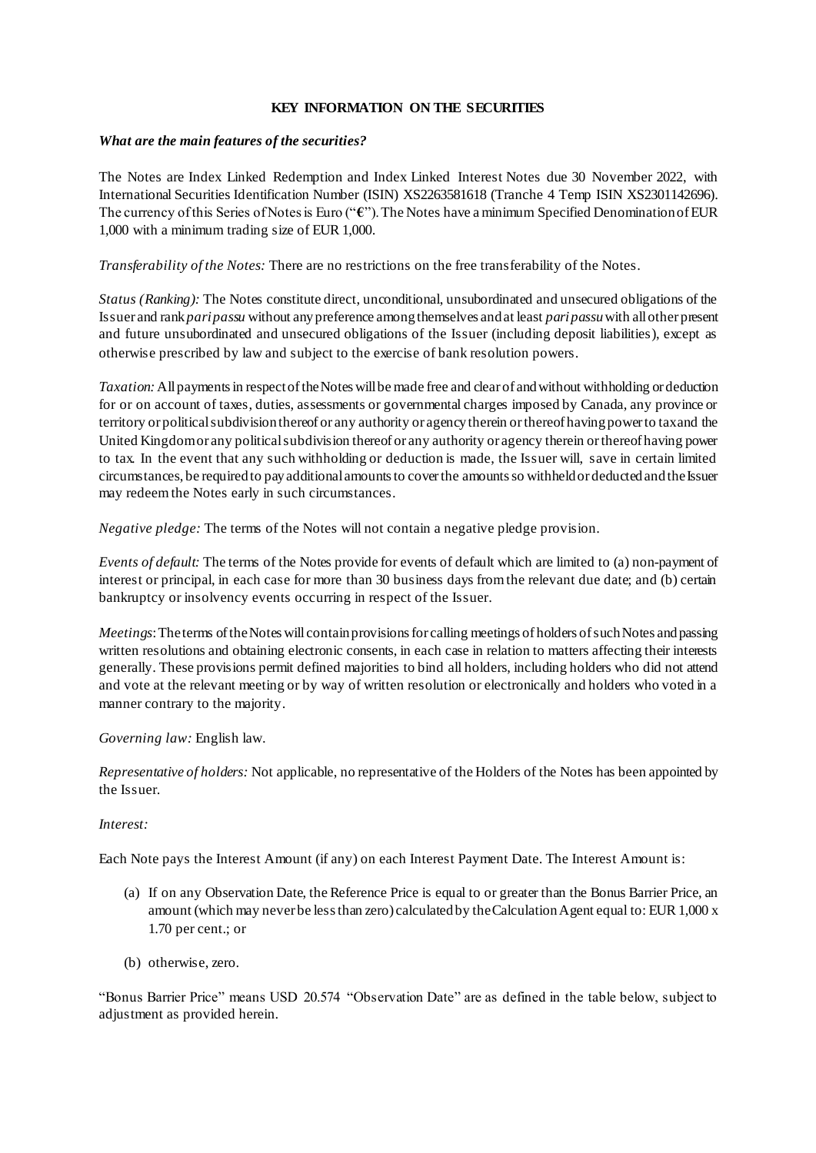### **KEY INFORMATION ON THE SECURITIES**

#### *What are the main features of the securities?*

The Notes are Index Linked Redemption and Index Linked Interest Notes due 30 November 2022, with International Securities Identification Number (ISIN) XS2263581618 (Tranche 4 Temp ISIN XS2301142696). The currency of this Series of Notes is Euro ("**€**").The Notes have a minimum Specified Denomination of EUR 1,000 with a minimum trading size of EUR 1,000.

*Transferability of the Notes:* There are no restrictions on the free transferability of the Notes.

*Status (Ranking):* The Notes constitute direct, unconditional, unsubordinated and unsecured obligations of the Issuer and rank *pari passu* without any preference among themselves and at least *pari passu*with all other present and future unsubordinated and unsecured obligations of the Issuer (including deposit liabilities), except as otherwise prescribed by law and subject to the exercise of bank resolution powers.

*Taxation:* All payments in respect of the Notes will be made free and clear of and without withholding or deduction for or on account of taxes, duties, assessments or governmental charges imposed by Canada, any province or territory or political subdivision thereof or any authority or agency therein or thereof having power to tax and the United Kingdom or any political subdivision thereof or any authority or agency therein or thereof having power to tax. In the event that any such withholding or deduction is made, the Issuer will, save in certain limited circumstances, be required to pay additional amounts to cover the amounts so withheld or deducted and the Issuer may redeem the Notes early in such circumstances.

*Negative pledge:* The terms of the Notes will not contain a negative pledge provision.

*Events of default:* The terms of the Notes provide for events of default which are limited to (a) non-payment of interest or principal, in each case for more than 30 business days from the relevant due date; and (b) certain bankruptcy or insolvency events occurring in respect of the Issuer.

*Meetings*: The terms of the Notes will contain provisions for calling meetings of holders of such Notes and passing written resolutions and obtaining electronic consents, in each case in relation to matters affecting their interests generally. These provisions permit defined majorities to bind all holders, including holders who did not attend and vote at the relevant meeting or by way of written resolution or electronically and holders who voted in a manner contrary to the majority.

*Governing law:* English law.

*Representative of holders:* Not applicable, no representative of the Holders of the Notes has been appointed by the Issuer.

### *Interest:*

Each Note pays the Interest Amount (if any) on each Interest Payment Date. The Interest Amount is:

- (a) If on any Observation Date, the Reference Price is equal to or greater than the Bonus Barrier Price, an amount (which may never be less than zero) calculated by the Calculation Agent equal to: EUR 1,000 x 1.70 per cent.; or
- (b) otherwise, zero.

"Bonus Barrier Price" means USD 20.574 "Observation Date" are as defined in the table below, subject to adjustment as provided herein.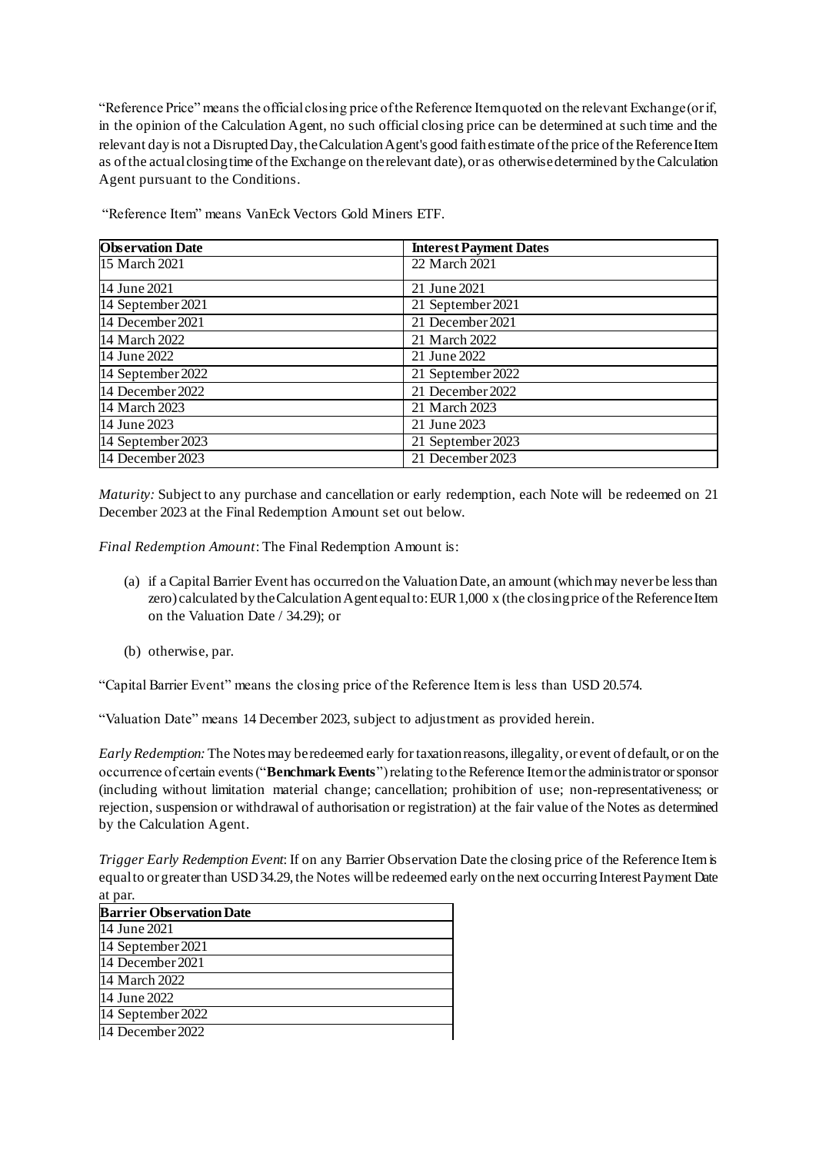"Reference Price" means the official closing price of the Reference Item quoted on the relevant Exchange (or if, in the opinion of the Calculation Agent, no such official closing price can be determined at such time and the relevant day is not a Disrupted Day, the Calculation Agent's good faith estimate of the price of the Reference Item as of the actual closing time of the Exchange on the relevant date), or as otherwise determined by the Calculation Agent pursuant to the Conditions.

| <b>Observation Date</b> | <b>Interest Payment Dates</b> |  |
|-------------------------|-------------------------------|--|
| 15 March 2021           | 22 March 2021                 |  |
| 14 June 2021            | 21 June 2021                  |  |
| 14 September 2021       | 21 September 2021             |  |
| 14 December 2021        | 21 December 2021              |  |
| 14 March 2022           | 21 March 2022                 |  |
| 14 June 2022            | 21 June 2022                  |  |
| 14 September 2022       | 21 September $2022$           |  |
| 14 December 2022        | 21 December 2022              |  |
| 14 March 2023           | 21 March 2023                 |  |
| 14 June 2023            | 21 June 2023                  |  |
| 14 September 2023       | 21 September 2023             |  |
| 14 December 2023        | 21 December 2023              |  |

"Reference Item" means VanEck Vectors Gold Miners ETF.

*Maturity:* Subject to any purchase and cancellation or early redemption, each Note will be redeemed on 21 December 2023 at the Final Redemption Amount set out below.

*Final Redemption Amount*: The Final Redemption Amount is:

- (a) if a Capital Barrier Event has occurred on the Valuation Date, an amount (which may never be less than zero) calculated by the Calculation Agent equal to: EUR 1,000 x (the closing price of the Reference Item on the Valuation Date / 34.29); or
- (b) otherwise, par.

"Capital Barrier Event" means the closing price of the Reference Item is less than USD 20.574.

"Valuation Date" means 14 December 2023, subject to adjustment as provided herein.

*Early Redemption:* The Notes may be redeemed early fortaxation reasons, illegality, or event of default, or on the occurrence of certain events ("**Benchmark Events**") relating to the Reference Item or the administrator or sponsor (including without limitation material change; cancellation; prohibition of use; non-representativeness; or rejection, suspension or withdrawal of authorisation or registration) at the fair value of the Notes as determined by the Calculation Agent.

*Trigger Early Redemption Event*: If on any Barrier Observation Date the closing price of the Reference Item is equal to or greater than USD 34.29, the Notes will be redeemed early on the next occurring Interest Payment Date at par.

| <b>Barrier Observation Date</b> |  |
|---------------------------------|--|
| 14 June 2021                    |  |
| 14 September 2021               |  |
| 14 December 2021                |  |
| 14 March 2022                   |  |
| 14 June 2022                    |  |
| 14 September 2022               |  |
| 14 December 2022                |  |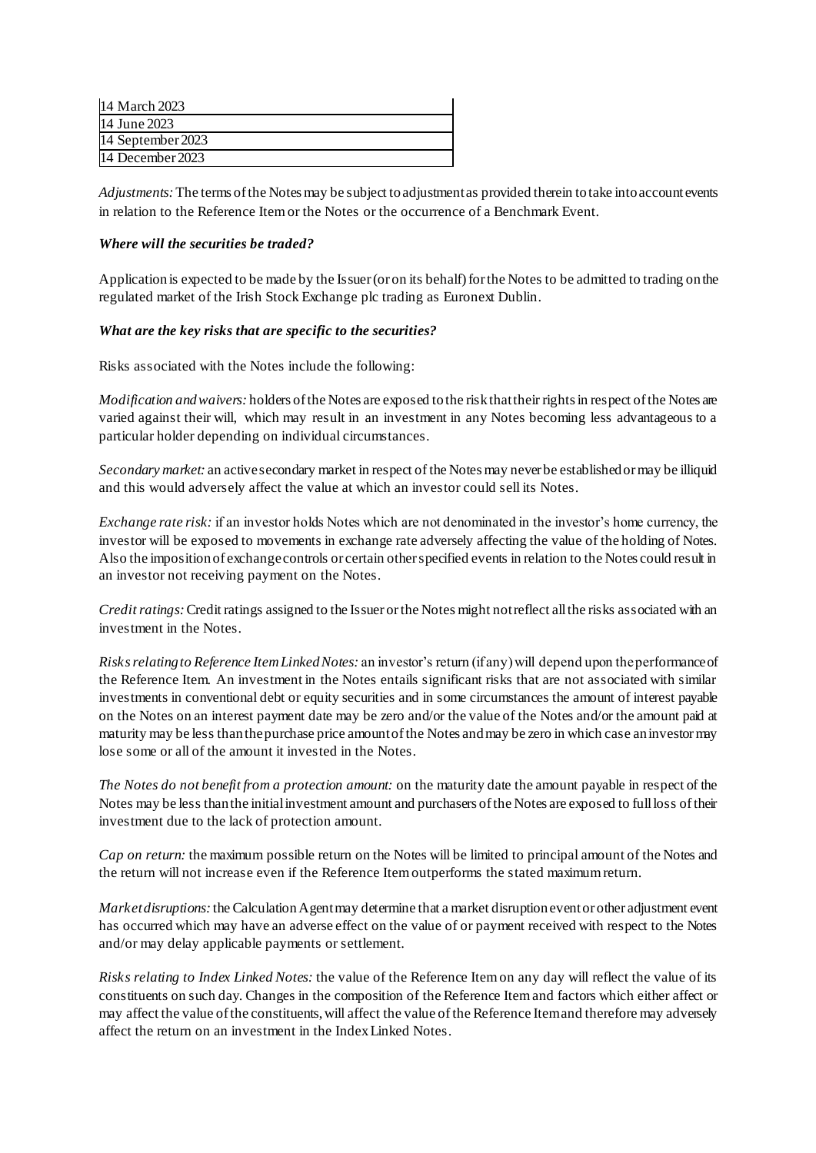| 14 March 2023     |
|-------------------|
| 14 June 2023      |
| 14 September 2023 |
| 14 December 2023  |

*Adjustments:*The terms of the Notes may be subject to adjustment as provided therein to take into account events in relation to the Reference Item or the Notes or the occurrence of a Benchmark Event.

### *Where will the securities be traded?*

Application is expected to be made by the Issuer (or on its behalf) for the Notes to be admitted to trading on the regulated market of the Irish Stock Exchange plc trading as Euronext Dublin.

### *What are the key risks that are specific to the securities?*

Risks associated with the Notes include the following:

*Modification and waivers:* holders of the Notes are exposed to the risk that their rights in respect of the Notes are varied against their will, which may result in an investment in any Notes becoming less advantageous to a particular holder depending on individual circumstances.

*Secondary market:* an active secondary market in respect ofthe Notes may never be established or may be illiquid and this would adversely affect the value at which an investor could sell its Notes.

*Exchange rate risk:* if an investor holds Notes which are not denominated in the investor's home currency, the investor will be exposed to movements in exchange rate adversely affecting the value of the holding of Notes. Also the imposition of exchange controls or certain other specified events in relation to the Notes could result in an investor not receiving payment on the Notes.

*Credit ratings:* Credit ratings assigned to the Issuer or the Notes might not reflect all the risks associated with an investment in the Notes.

*Risks relating to Reference Item Linked Notes:* an investor's return (if any) will depend upon the performance of the Reference Item. An investment in the Notes entails significant risks that are not associated with similar investments in conventional debt or equity securities and in some circumstances the amount of interest payable on the Notes on an interest payment date may be zero and/or the value of the Notes and/or the amount paid at maturity may be less than the purchase price amount of the Notes and may be zero in which case an investor may lose some or all of the amount it invested in the Notes.

*The Notes do not benefit from a protection amount:* on the maturity date the amount payable in respect of the Notes may be less than the initial investment amount and purchasers of the Notes are exposed to full loss of their investment due to the lack of protection amount.

*Cap on return:* the maximum possible return on the Notes will be limited to principal amount of the Notes and the return will not increase even if the Reference Item outperforms the stated maximum return.

*Market disruptions:* the Calculation Agent may determine that a market disruption event or other adjustment event has occurred which may have an adverse effect on the value of or payment received with respect to the Notes and/or may delay applicable payments or settlement.

*Risks relating to Index Linked Notes:* the value of the Reference Item on any day will reflect the value of its constituents on such day. Changes in the composition of the Reference Item and factors which either affect or may affect the value of the constituents, will affect the value of the Reference Item and therefore may adversely affect the return on an investment in the Index Linked Notes.